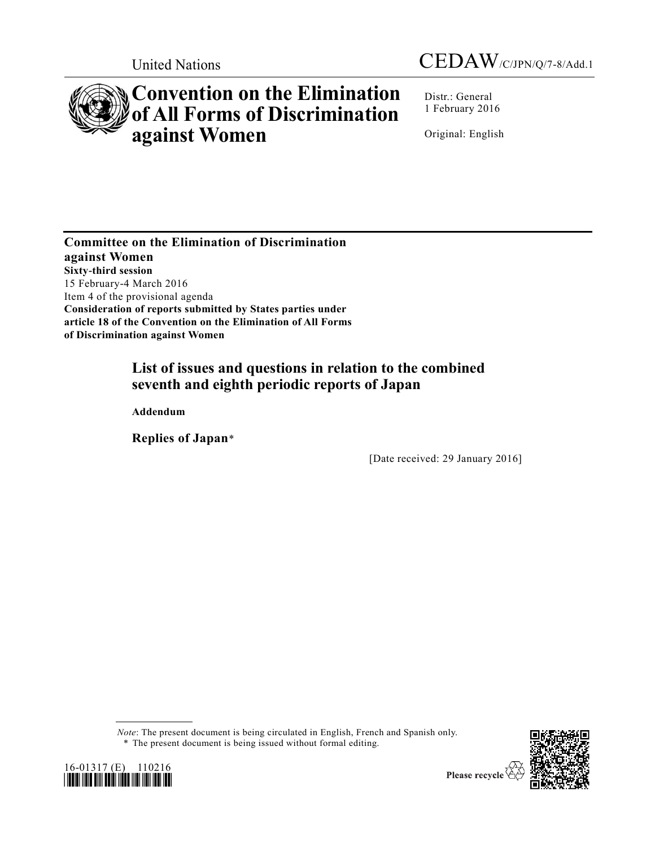



# **Convention on the Elimination of All Forms of Discrimination against Women**

Distr.: General 1 February 2016

Original: English

**Committee on the Elimination of Discrimination against Women Sixty-third session** 15 February-4 March 2016 Item 4 of the provisional agenda **Consideration of reports submitted by States parties under article 18 of the Convention on the Elimination of All Forms of Discrimination against Women**

## **List of issues and questions in relation to the combined seventh and eighth periodic reports of Japan**

**Addendum**

**Replies of Japan**\*

[Date received: 29 January 2016]

*Note*: The present document is being circulated in English, French and Spanish only.





<sup>\*</sup> The present document is being issued without formal editing.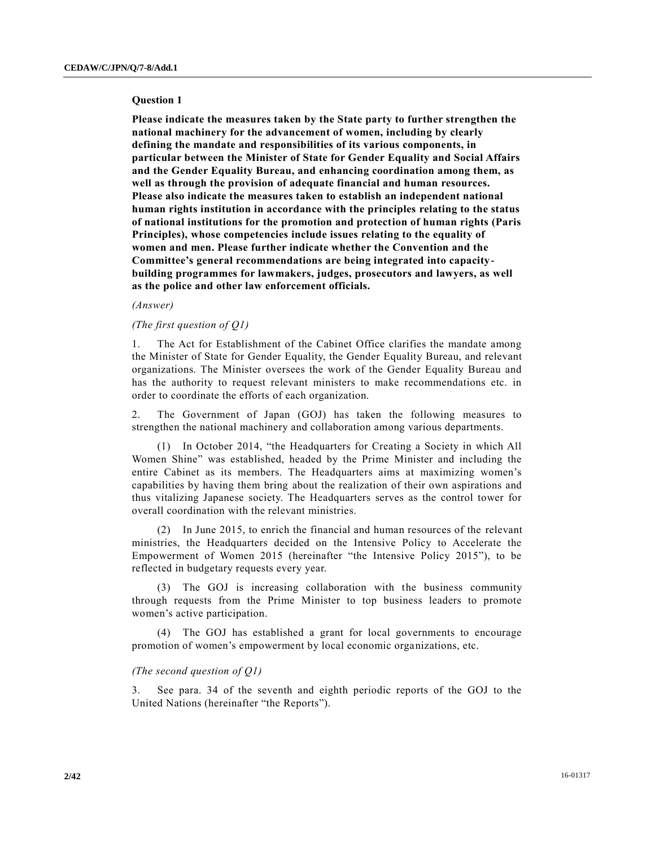#### **Question 1**

**Please indicate the measures taken by the State party to further strengthen the national machinery for the advancement of women, including by clearly defining the mandate and responsibilities of its various components, in particular between the Minister of State for Gender Equality and Social Affairs and the Gender Equality Bureau, and enhancing coordination among them, as well as through the provision of adequate financial and human resources. Please also indicate the measures taken to establish an independent national human rights institution in accordance with the principles relating to the status of national institutions for the promotion and protection of human rights (Paris Principles), whose competencies include issues relating to the equality of women and men. Please further indicate whether the Convention and the Committee's general recommendations are being integrated into capacitybuilding programmes for lawmakers, judges, prosecutors and lawyers, as well as the police and other law enforcement officials.**

#### *(Answer)*

## *(The first question of Q1)*

1. The Act for Establishment of the Cabinet Office clarifies the mandate among the Minister of State for Gender Equality, the Gender Equality Bureau, and relevant organizations. The Minister oversees the work of the Gender Equality Bureau and has the authority to request relevant ministers to make recommendations etc. in order to coordinate the efforts of each organization.

2. The Government of Japan (GOJ) has taken the following measures to strengthen the national machinery and collaboration among various departments.

(1) In October 2014, "the Headquarters for Creating a Society in which All Women Shine" was established, headed by the Prime Minister and including the entire Cabinet as its members. The Headquarters aims at maximizing women's capabilities by having them bring about the realization of their own aspirations and thus vitalizing Japanese society. The Headquarters serves as the control tower for overall coordination with the relevant ministries.

(2) In June 2015, to enrich the financial and human resources of the relevant ministries, the Headquarters decided on the Intensive Policy to Accelerate the Empowerment of Women 2015 (hereinafter "the Intensive Policy 2015"), to be reflected in budgetary requests every year.

(3) The GOJ is increasing collaboration with the business community through requests from the Prime Minister to top business leaders to promote women's active participation.

(4) The GOJ has established a grant for local governments to encourage promotion of women's empowerment by local economic organizations, etc.

## *(The second question of Q1)*

3. See para. 34 of the seventh and eighth periodic reports of the GOJ to the United Nations (hereinafter "the Reports").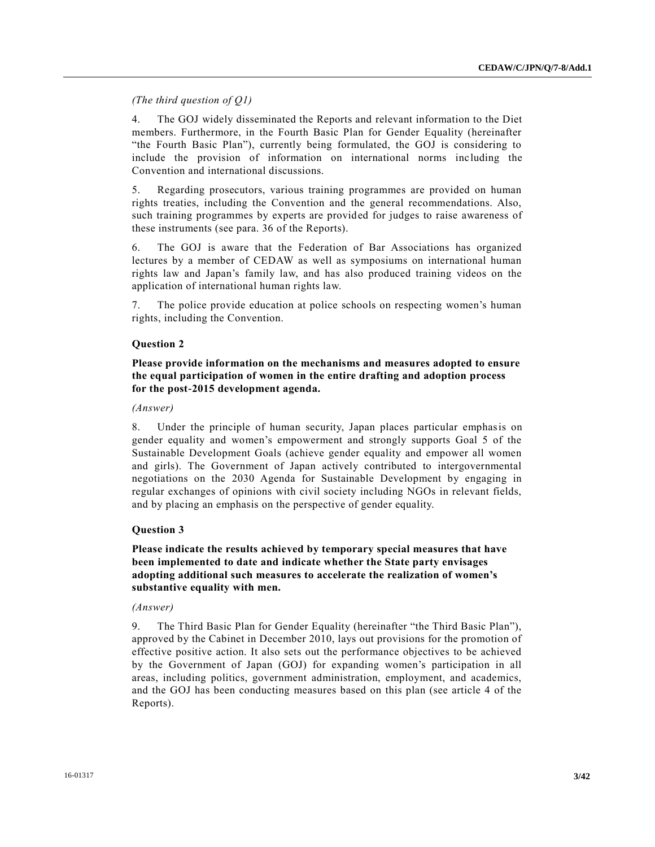*(The third question of Q1)*

4. The GOJ widely disseminated the Reports and relevant information to the Diet members. Furthermore, in the Fourth Basic Plan for Gender Equality (hereinafter "the Fourth Basic Plan"), currently being formulated, the GOJ is considering to include the provision of information on international norms including the Convention and international discussions.

5. Regarding prosecutors, various training programmes are provided on human rights treaties, including the Convention and the general recommendations. Also, such training programmes by experts are provided for judges to raise awareness of these instruments (see para. 36 of the Reports).

6. The GOJ is aware that the Federation of Bar Associations has organized lectures by a member of CEDAW as well as symposiums on international human rights law and Japan's family law, and has also produced training videos on the application of international human rights law.

7. The police provide education at police schools on respecting women's human rights, including the Convention.

## **Question 2**

## **Please provide information on the mechanisms and measures adopted to ensure the equal participation of women in the entire drafting and adoption process for the post-2015 development agenda.**

#### *(Answer)*

8. Under the principle of human security, Japan places particular emphasis on gender equality and women's empowerment and strongly supports Goal 5 of the Sustainable Development Goals (achieve gender equality and empower all women and girls). The Government of Japan actively contributed to intergovernmental negotiations on the 2030 Agenda for Sustainable Development by engaging in regular exchanges of opinions with civil society including NGOs in relevant fields, and by placing an emphasis on the perspective of gender equality.

## **Question 3**

**Please indicate the results achieved by temporary special measures that have been implemented to date and indicate whether the State party envisages adopting additional such measures to accelerate the realization of women's substantive equality with men.**

## *(Answer)*

9. The Third Basic Plan for Gender Equality (hereinafter "the Third Basic Plan"), approved by the Cabinet in December 2010, lays out provisions for the promotion of effective positive action. It also sets out the performance objectives to be achieved by the Government of Japan (GOJ) for expanding women's participation in all areas, including politics, government administration, employment, and academics, and the GOJ has been conducting measures based on this plan (see article 4 of the Reports).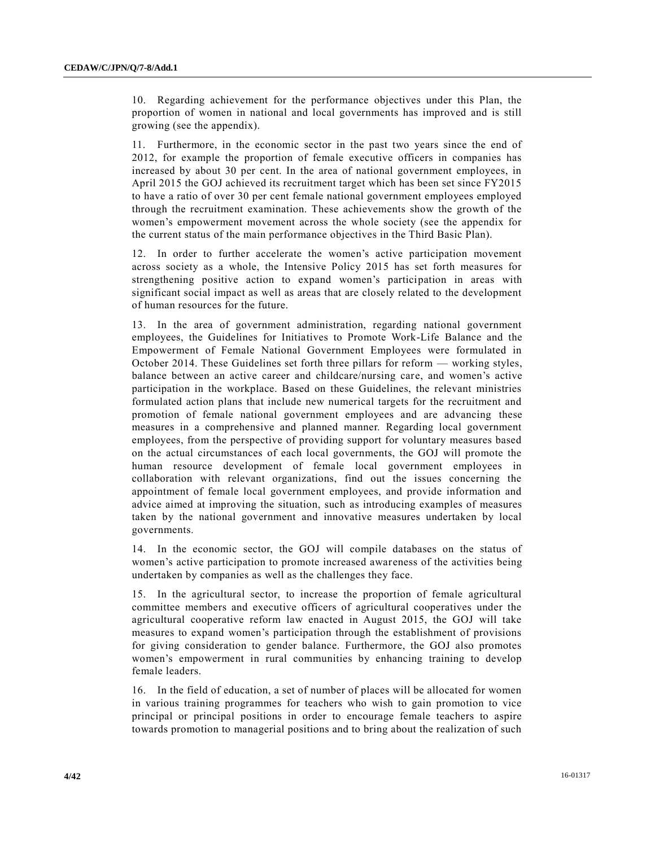10. Regarding achievement for the performance objectives under this Plan, the proportion of women in national and local governments has improved and is still growing (see the appendix).

11. Furthermore, in the economic sector in the past two years since the end of 2012, for example the proportion of female executive officers in companies has increased by about 30 per cent. In the area of national government employees, in April 2015 the GOJ achieved its recruitment target which has been set since FY2015 to have a ratio of over 30 per cent female national government employees employed through the recruitment examination. These achievements show the growth of the women's empowerment movement across the whole society (see the appendix for the current status of the main performance objectives in the Third Basic Plan).

12. In order to further accelerate the women's active participation movement across society as a whole, the Intensive Policy 2015 has set forth measures for strengthening positive action to expand women's participation in areas with significant social impact as well as areas that are closely related to the development of human resources for the future.

13. In the area of government administration, regarding national government employees, the Guidelines for Initiatives to Promote Work-Life Balance and the Empowerment of Female National Government Employees were formulated in October 2014. These Guidelines set forth three pillars for reform — working styles, balance between an active career and childcare/nursing care, and women's active participation in the workplace. Based on these Guidelines, the relevant ministries formulated action plans that include new numerical targets for the recruitment and promotion of female national government employees and are advancing these measures in a comprehensive and planned manner. Regarding local government employees, from the perspective of providing support for voluntary measures based on the actual circumstances of each local governments, the GOJ will promote the human resource development of female local government employees in collaboration with relevant organizations, find out the issues concerning the appointment of female local government employees, and provide information and advice aimed at improving the situation, such as introducing examples of measures taken by the national government and innovative measures undertaken by local governments.

14. In the economic sector, the GOJ will compile databases on the status of women's active participation to promote increased awareness of the activities being undertaken by companies as well as the challenges they face.

15. In the agricultural sector, to increase the proportion of female agricultural committee members and executive officers of agricultural cooperatives under the agricultural cooperative reform law enacted in August 2015, the GOJ will take measures to expand women's participation through the establishment of provisions for giving consideration to gender balance. Furthermore, the GOJ also promotes women's empowerment in rural communities by enhancing training to develop female leaders.

16. In the field of education, a set of number of places will be allocated for women in various training programmes for teachers who wish to gain promotion to vice principal or principal positions in order to encourage female teachers to aspire towards promotion to managerial positions and to bring about the realization of such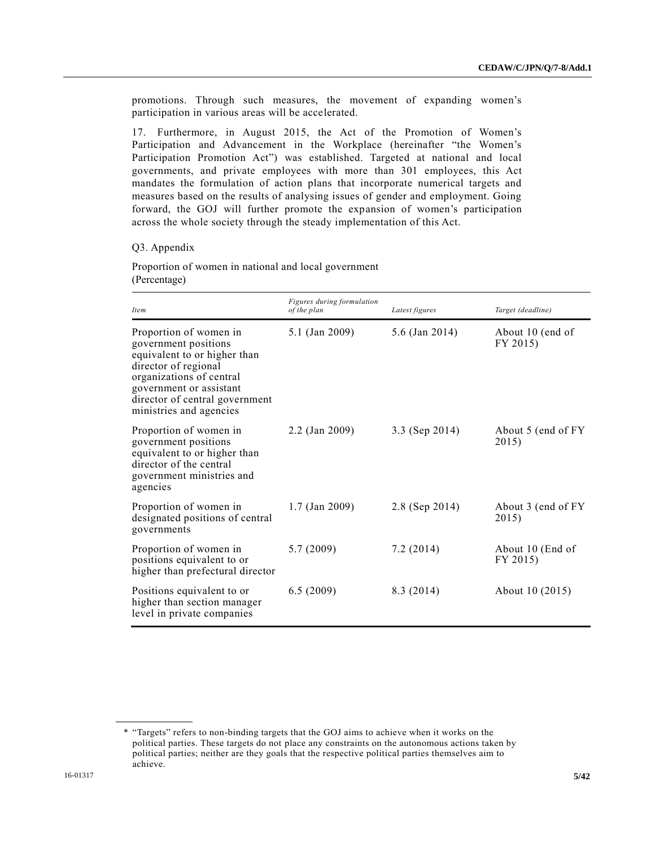promotions. Through such measures, the movement of expanding women's participation in various areas will be accelerated.

17. Furthermore, in August 2015, the Act of the Promotion of Women's Participation and Advancement in the Workplace (hereinafter "the Women's Participation Promotion Act") was established. Targeted at national and local governments, and private employees with more than 301 employees, this Act mandates the formulation of action plans that incorporate numerical targets and measures based on the results of analysing issues of gender and employment. Going forward, the GOJ will further promote the expansion of women's participation across the whole society through the steady implementation of this Act.

#### Q3. Appendix

Proportion of women in national and local government (Percentage)

| <i>Item</i>                                                                                                                                                                                                                | Figures during formulation<br>of the plan | Latest figures | Target (deadline)            |
|----------------------------------------------------------------------------------------------------------------------------------------------------------------------------------------------------------------------------|-------------------------------------------|----------------|------------------------------|
| Proportion of women in<br>government positions<br>equivalent to or higher than<br>director of regional<br>organizations of central<br>government or assistant<br>director of central government<br>ministries and agencies | 5.1 (Jan 2009)                            | 5.6 (Jan 2014) | About 10 (end of<br>FY 2015) |
| Proportion of women in<br>government positions<br>equivalent to or higher than<br>director of the central<br>government ministries and<br>agencies                                                                         | 2.2 (Jan 2009)                            | 3.3 (Sep 2014) | About 5 (end of FY)<br>2015) |
| Proportion of women in<br>designated positions of central<br>governments                                                                                                                                                   | $1.7$ (Jan 2009)                          | 2.8 (Sep 2014) | About 3 (end of FY)<br>2015) |
| Proportion of women in<br>positions equivalent to or<br>higher than prefectural director                                                                                                                                   | 5.7(2009)                                 | 7.2(2014)      | About 10 (End of<br>FY 2015) |
| Positions equivalent to or<br>higher than section manager<br>level in private companies                                                                                                                                    | 6.5(2009)                                 | 8.3 (2014)     | About 10 (2015)              |

<sup>\*</sup> "Targets" refers to non-binding targets that the GOJ aims to achieve when it works on the political parties. These targets do not place any constraints on the autonomous actions taken by political parties; neither are they goals that the respective political parties themselves aim to achieve.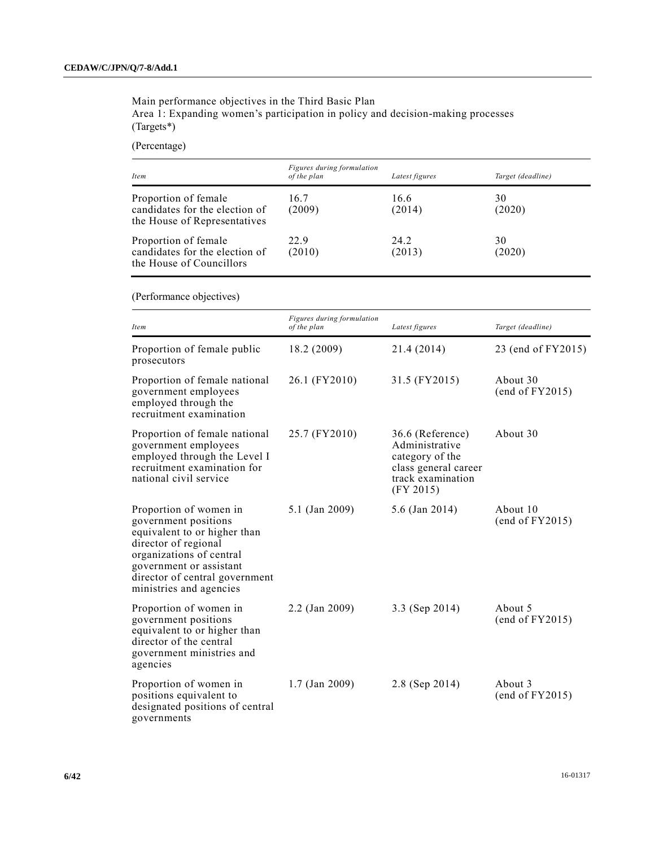Main performance objectives in the Third Basic Plan

Area 1: Expanding women's participation in policy and decision-making processes (Targets\*)

(Percentage)

| Item                                                                                   | Figures during formulation<br>of the plan | Latest figures | Target (deadline) |
|----------------------------------------------------------------------------------------|-------------------------------------------|----------------|-------------------|
| Proportion of female<br>candidates for the election of<br>the House of Representatives | 16.7<br>(2009)                            | 16.6<br>(2014) | 30<br>(2020)      |
| Proportion of female<br>candidates for the election of<br>the House of Councillors     | 22.9<br>(2010)                            | 24.2<br>(2013) | 30<br>(2020)      |

(Performance objectives)

| Item                                                                                                                                                                                                                       | Figures during formulation<br>of the plan | Latest figures                                                                                                  | Target (deadline)           |
|----------------------------------------------------------------------------------------------------------------------------------------------------------------------------------------------------------------------------|-------------------------------------------|-----------------------------------------------------------------------------------------------------------------|-----------------------------|
| Proportion of female public<br>prosecutors                                                                                                                                                                                 | 18.2 (2009)                               | 21.4 (2014)                                                                                                     | 23 (end of FY2015)          |
| Proportion of female national<br>government employees<br>employed through the<br>recruitment examination                                                                                                                   | 26.1 (FY2010)                             | 31.5 (FY2015)                                                                                                   | About 30<br>(end of FY2015) |
| Proportion of female national<br>government employees<br>employed through the Level I<br>recruitment examination for<br>national civil service                                                                             | 25.7 (FY2010)                             | 36.6 (Reference)<br>Administrative<br>category of the<br>class general career<br>track examination<br>(FY 2015) | About 30                    |
| Proportion of women in<br>government positions<br>equivalent to or higher than<br>director of regional<br>organizations of central<br>government or assistant<br>director of central government<br>ministries and agencies | 5.1 (Jan 2009)                            | 5.6 (Jan 2014)                                                                                                  | About 10<br>(end of FY2015) |
| Proportion of women in<br>government positions<br>equivalent to or higher than<br>director of the central<br>government ministries and<br>agencies                                                                         | 2.2 (Jan 2009)                            | 3.3 (Sep 2014)                                                                                                  | About 5<br>(end of FY2015)  |
| Proportion of women in<br>positions equivalent to<br>designated positions of central<br>governments                                                                                                                        | $1.7$ (Jan 2009)                          | 2.8 (Sep 2014)                                                                                                  | About 3<br>(end of FY2015)  |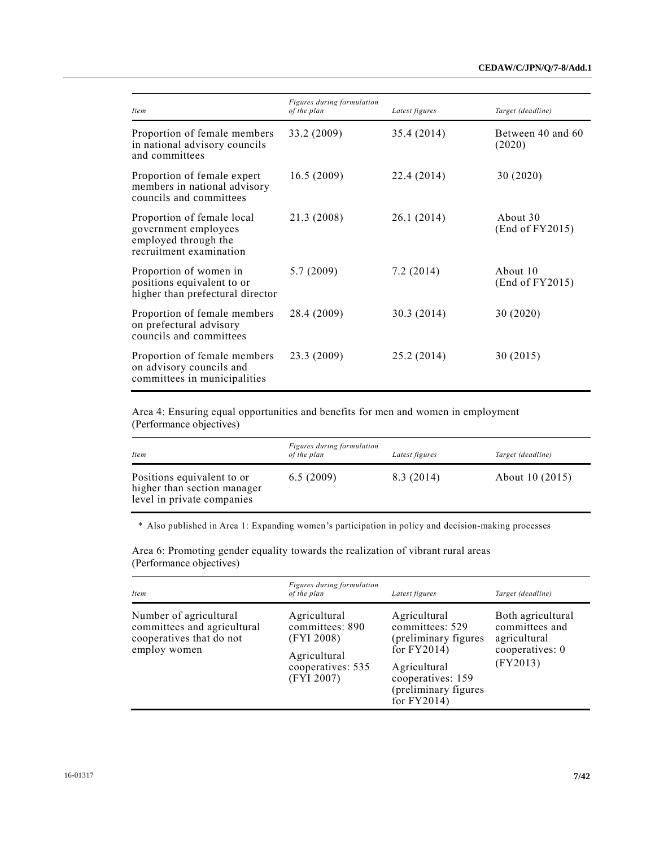| <i>Item</i>                                                                                           | Figures during formulation<br>of the plan | Latest figures | Target (deadline)           |
|-------------------------------------------------------------------------------------------------------|-------------------------------------------|----------------|-----------------------------|
| Proportion of female members<br>in national advisory councils<br>and committees                       | 33.2 (2009)                               | 35.4 (2014)    | Between 40 and 60<br>(2020) |
| Proportion of female expert<br>members in national advisory<br>councils and committees                | 16.5(2009)                                | 22.4 (2014)    | 30 (2020)                   |
| Proportion of female local<br>government employees<br>employed through the<br>recruitment examination | 21.3 (2008)                               | 26.1(2014)     | About 30<br>(End of FY2015) |
| Proportion of women in<br>positions equivalent to or<br>higher than prefectural director              | 5.7(2009)                                 | 7.2(2014)      | About 10<br>(End of FY2015) |
| Proportion of female members<br>on prefectural advisory<br>councils and committees                    | 28.4 (2009)                               | 30.3 (2014)    | 30 (2020)                   |
| Proportion of female members<br>on advisory councils and<br>committees in municipalities              | 23.3 (2009)                               | 25.2 (2014)    | 30 (2015)                   |

Area 4: Ensuring equal opportunities and benefits for men and women in employment (Performance objectives)

| <i>Item</i>                                                                             | Figures during formulation<br>of the plan | Latest figures | Target (deadline) |
|-----------------------------------------------------------------------------------------|-------------------------------------------|----------------|-------------------|
| Positions equivalent to or<br>higher than section manager<br>level in private companies | 6.5(2009)                                 | 8.3 (2014)     | About 10 (2015)   |

\* Also published in Area 1: Expanding women's participation in policy and decision-making processes

*Item Figures during formulation of the plan Latest figures Target (deadline)* Number of agricultural committees and agricultural cooperatives that do not employ women Agricultural committees: 890 (FYI 2008) Agricultural cooperatives: 535 (FYI 2007) Agricultural committees: 529 (preliminary figures for FY2014) Agricultural cooperatives: 159 (preliminary figures for FY2014) Both agricultural committees and agricultural cooperatives: 0 (FY2013)

Area 6: Promoting gender equality towards the realization of vibrant rural areas (Performance objectives)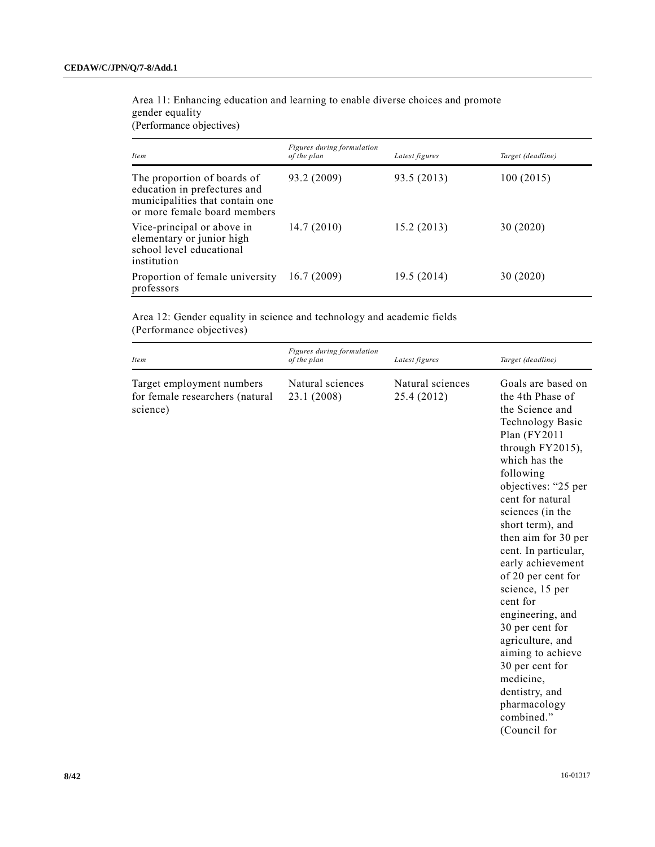Area 11: Enhancing education and learning to enable diverse choices and promote gender equality

(Performance objectives)

| <i>Item</i>                                                                                                                    | Figures during formulation<br>of the plan | Latest figures | Target (deadline) |
|--------------------------------------------------------------------------------------------------------------------------------|-------------------------------------------|----------------|-------------------|
| The proportion of boards of<br>education in prefectures and<br>municipalities that contain one<br>or more female board members | 93.2 (2009)                               | 93.5 (2013)    | 100(2015)         |
| Vice-principal or above in<br>elementary or junior high<br>school level educational<br>institution                             | 14.7(2010)                                | 15.2(2013)     | 30 (2020)         |
| Proportion of female university<br>professors                                                                                  | 16.7(2009)                                | 19.5 (2014)    | 30 (2020)         |

Area 12: Gender equality in science and technology and academic fields (Performance objectives)

| Item                                                                     | Figures during formulation<br>of the plan | Latest figures                  | Target (deadline)                                                                                                                                                                                                                                                                                                                                                                                                                                                                                                                                  |
|--------------------------------------------------------------------------|-------------------------------------------|---------------------------------|----------------------------------------------------------------------------------------------------------------------------------------------------------------------------------------------------------------------------------------------------------------------------------------------------------------------------------------------------------------------------------------------------------------------------------------------------------------------------------------------------------------------------------------------------|
| Target employment numbers<br>for female researchers (natural<br>science) | Natural sciences<br>23.1 (2008)           | Natural sciences<br>25.4 (2012) | Goals are based on<br>the 4th Phase of<br>the Science and<br><b>Technology Basic</b><br>Plan (FY2011<br>through FY2015),<br>which has the<br>following<br>objectives: "25 per<br>cent for natural<br>sciences (in the<br>short term), and<br>then aim for 30 per<br>cent. In particular,<br>early achievement<br>of 20 per cent for<br>science, 15 per<br>cent for<br>engineering, and<br>30 per cent for<br>agriculture, and<br>aiming to achieve<br>30 per cent for<br>medicine,<br>dentistry, and<br>pharmacology<br>combined."<br>(Council for |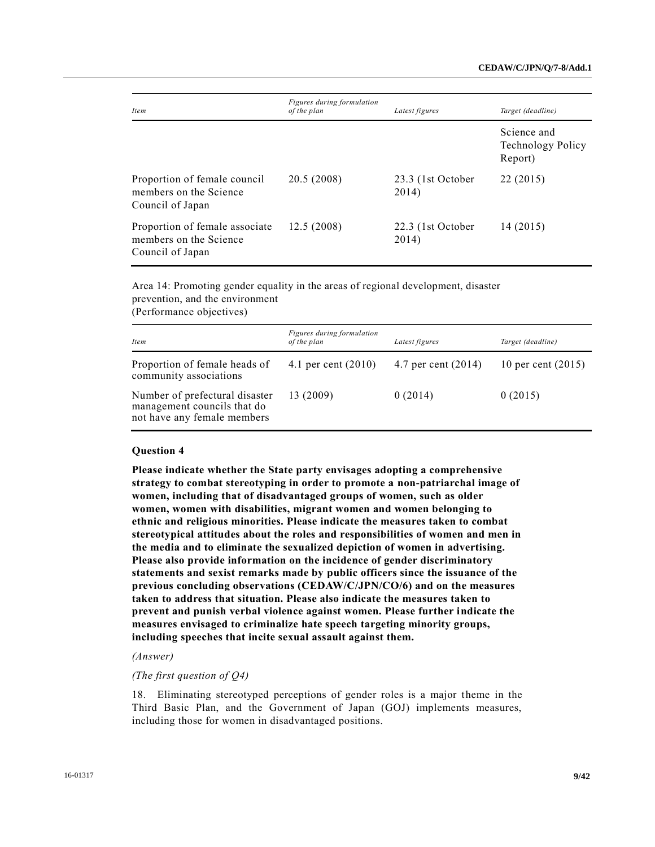| <i>Item</i>                                                                  | Figures during formulation<br>of the plan | Latest figures             | Target (deadline)                                  |
|------------------------------------------------------------------------------|-------------------------------------------|----------------------------|----------------------------------------------------|
|                                                                              |                                           |                            | Science and<br><b>Technology Policy</b><br>Report) |
| Proportion of female council<br>members on the Science<br>Council of Japan   | 20.5 (2008)                               | 23.3 (1st October<br>2014) | 22 (2015)                                          |
| Proportion of female associate<br>members on the Science<br>Council of Japan | 12.5(2008)                                | 22.3 (1st October<br>2014) | 14(2015)                                           |

Area 14: Promoting gender equality in the areas of regional development, disaster prevention, and the environment

(Performance objectives)

| <i>Item</i>                                                                                  | Figures during formulation<br>of the plan | Latest figures      | Target (deadline)    |
|----------------------------------------------------------------------------------------------|-------------------------------------------|---------------------|----------------------|
| Proportion of female heads of<br>community associations                                      | 4.1 per cent $(2010)$                     | 4.7 per cent (2014) | 10 per cent $(2015)$ |
| Number of prefectural disaster<br>management councils that do<br>not have any female members | 13 (2009)                                 | 0(2014)             | 0(2015)              |

## **Question 4**

**Please indicate whether the State party envisages adopting a comprehensive strategy to combat stereotyping in order to promote a non-patriarchal image of women, including that of disadvantaged groups of women, such as older women, women with disabilities, migrant women and women belonging to ethnic and religious minorities. Please indicate the measures taken to combat stereotypical attitudes about the roles and responsibilities of women and men in the media and to eliminate the sexualized depiction of women in advertising. Please also provide information on the incidence of gender discriminatory statements and sexist remarks made by public officers since the issuance of the previous concluding observations (CEDAW/C/JPN/CO/6) and on the measures taken to address that situation. Please also indicate the measures taken to prevent and punish verbal violence against women. Please further indicate the measures envisaged to criminalize hate speech targeting minority groups, including speeches that incite sexual assault against them.**

#### *(Answer)*

## *(The first question of Q4)*

18. Eliminating stereotyped perceptions of gender roles is a major theme in the Third Basic Plan, and the Government of Japan (GOJ) implements measures, including those for women in disadvantaged positions.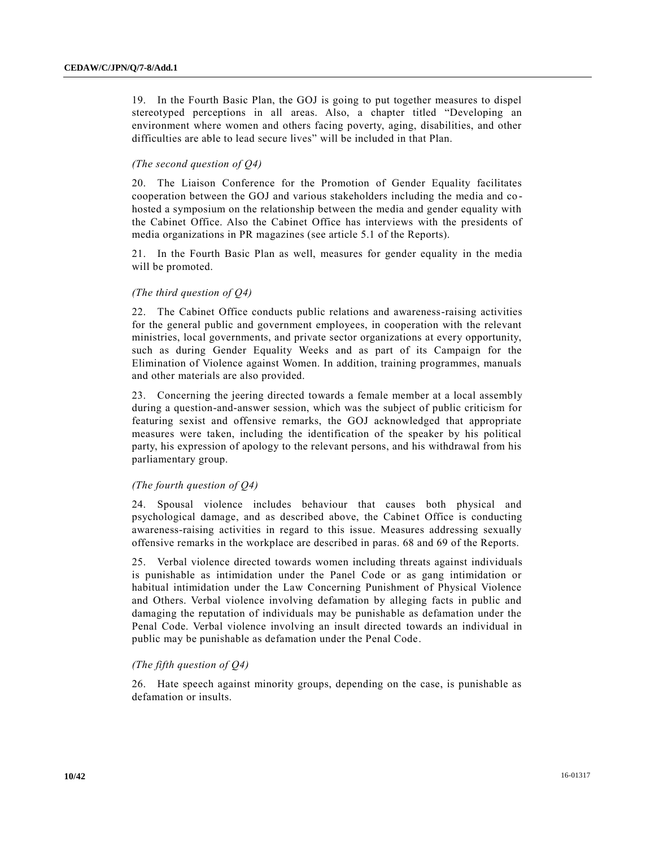19. In the Fourth Basic Plan, the GOJ is going to put together measures to dispel stereotyped perceptions in all areas. Also, a chapter titled "Developing an environment where women and others facing poverty, aging, disabilities, and other difficulties are able to lead secure lives" will be included in that Plan.

## *(The second question of Q4)*

20. The Liaison Conference for the Promotion of Gender Equality facilitates cooperation between the GOJ and various stakeholders including the media and co hosted a symposium on the relationship between the media and gender equality with the Cabinet Office. Also the Cabinet Office has interviews with the presidents of media organizations in PR magazines (see article 5.1 of the Reports).

21. In the Fourth Basic Plan as well, measures for gender equality in the media will be promoted.

## *(The third question of Q4)*

22. The Cabinet Office conducts public relations and awareness-raising activities for the general public and government employees, in cooperation with the relevant ministries, local governments, and private sector organizations at every opportunity, such as during Gender Equality Weeks and as part of its Campaign for the Elimination of Violence against Women. In addition, training programmes, manuals and other materials are also provided.

23. Concerning the jeering directed towards a female member at a local assembly during a question-and-answer session, which was the subject of public criticism for featuring sexist and offensive remarks, the GOJ acknowledged that appropriate measures were taken, including the identification of the speaker by his political party, his expression of apology to the relevant persons, and his withdrawal from his parliamentary group.

## *(The fourth question of Q4)*

24. Spousal violence includes behaviour that causes both physical and psychological damage, and as described above, the Cabinet Office is conducting awareness-raising activities in regard to this issue. Measures addressing sexually offensive remarks in the workplace are described in paras. 68 and 69 of the Reports.

25. Verbal violence directed towards women including threats against individuals is punishable as intimidation under the Panel Code or as gang intimidation or habitual intimidation under the Law Concerning Punishment of Physical Violence and Others. Verbal violence involving defamation by alleging facts in public and damaging the reputation of individuals may be punishable as defamation under the Penal Code. Verbal violence involving an insult directed towards an individual in public may be punishable as defamation under the Penal Code.

## *(The fifth question of Q4)*

26. Hate speech against minority groups, depending on the case, is punishable as defamation or insults.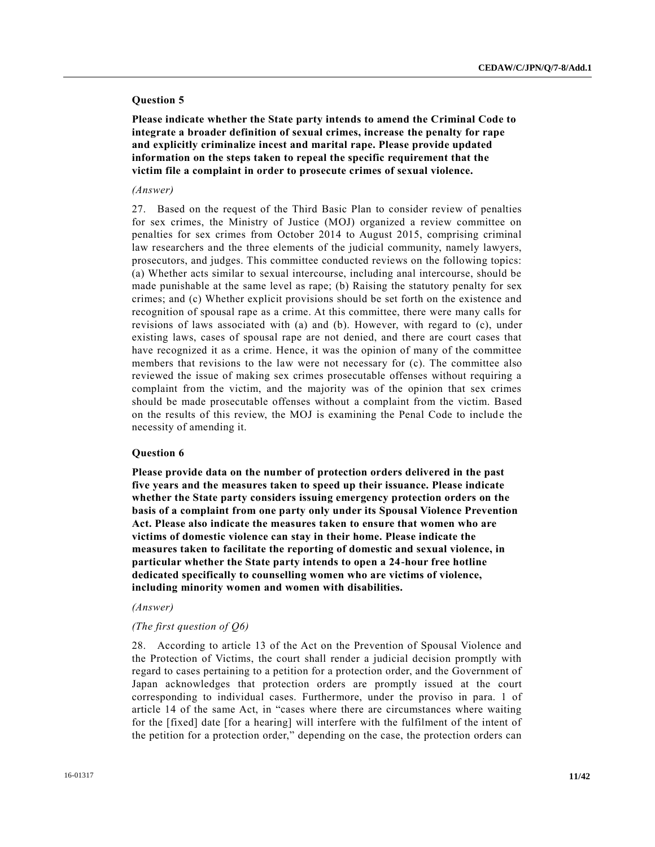## **Question 5**

**Please indicate whether the State party intends to amend the Criminal Code to integrate a broader definition of sexual crimes, increase the penalty for rape and explicitly criminalize incest and marital rape. Please provide updated information on the steps taken to repeal the specific requirement that the victim file a complaint in order to prosecute crimes of sexual violence.**

## *(Answer)*

27. Based on the request of the Third Basic Plan to consider review of penalties for sex crimes, the Ministry of Justice (MOJ) organized a review committee on penalties for sex crimes from October 2014 to August 2015, comprising criminal law researchers and the three elements of the judicial community, namely lawyers, prosecutors, and judges. This committee conducted reviews on the following topics: (a) Whether acts similar to sexual intercourse, including anal intercourse, should be made punishable at the same level as rape; (b) Raising the statutory penalty for sex crimes; and (c) Whether explicit provisions should be set forth on the existence and recognition of spousal rape as a crime. At this committee, there were many calls for revisions of laws associated with (a) and (b). However, with regard to (c), under existing laws, cases of spousal rape are not denied, and there are court cases that have recognized it as a crime. Hence, it was the opinion of many of the committee members that revisions to the law were not necessary for (c). The committee also reviewed the issue of making sex crimes prosecutable offenses without requiring a complaint from the victim, and the majority was of the opinion that sex crimes should be made prosecutable offenses without a complaint from the victim. Based on the results of this review, the MOJ is examining the Penal Code to include the necessity of amending it.

### **Question 6**

**Please provide data on the number of protection orders delivered in the past five years and the measures taken to speed up their issuance. Please indicate whether the State party considers issuing emergency protection orders on the basis of a complaint from one party only under its Spousal Violence Prevention Act. Please also indicate the measures taken to ensure that women who are victims of domestic violence can stay in their home. Please indicate the measures taken to facilitate the reporting of domestic and sexual violence, in particular whether the State party intends to open a 24-hour free hotline dedicated specifically to counselling women who are victims of violence, including minority women and women with disabilities.**

## *(Answer)*

## *(The first question of Q6)*

28. According to article 13 of the Act on the Prevention of Spousal Violence and the Protection of Victims, the court shall render a judicial decision promptly with regard to cases pertaining to a petition for a protection order, and the Government of Japan acknowledges that protection orders are promptly issued at the court corresponding to individual cases. Furthermore, under the proviso in para. 1 of article 14 of the same Act, in "cases where there are circumstances where waiting for the [fixed] date [for a hearing] will interfere with the fulfilment of the intent of the petition for a protection order," depending on the case, the protection orders can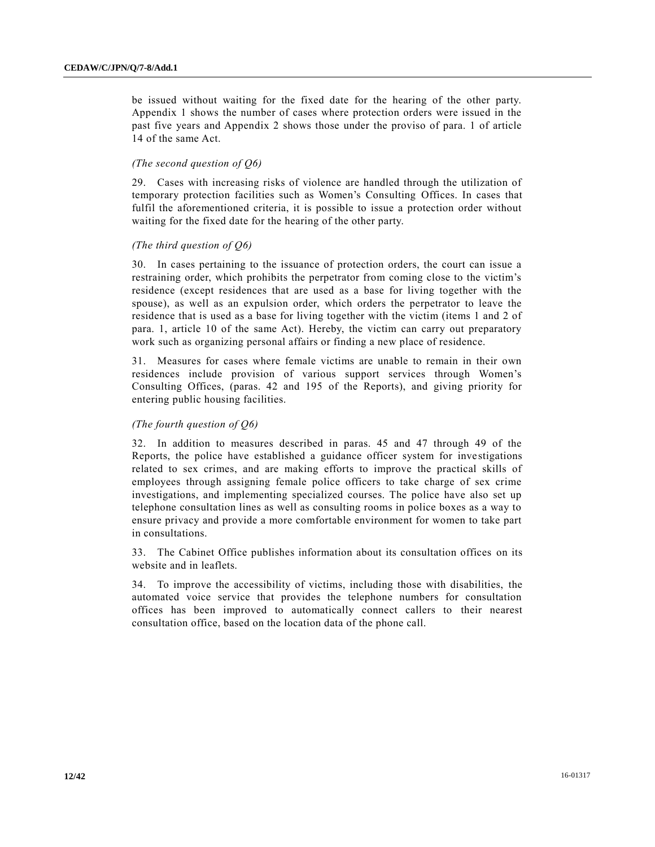be issued without waiting for the fixed date for the hearing of the other party. Appendix 1 shows the number of cases where protection orders were issued in the past five years and Appendix 2 shows those under the proviso of para. 1 of article 14 of the same Act.

## *(The second question of Q6)*

29. Cases with increasing risks of violence are handled through the utilization of temporary protection facilities such as Women's Consulting Offices. In cases that fulfil the aforementioned criteria, it is possible to issue a protection order without waiting for the fixed date for the hearing of the other party.

## *(The third question of Q6)*

30. In cases pertaining to the issuance of protection orders, the court can issue a restraining order, which prohibits the perpetrator from coming close to the victim's residence (except residences that are used as a base for living together with the spouse), as well as an expulsion order, which orders the perpetrator to leave the residence that is used as a base for living together with the victim (items 1 and 2 of para. 1, article 10 of the same Act). Hereby, the victim can carry out preparatory work such as organizing personal affairs or finding a new place of residence.

31. Measures for cases where female victims are unable to remain in their own residences include provision of various support services through Women's Consulting Offices, (paras. 42 and 195 of the Reports), and giving priority for entering public housing facilities.

## *(The fourth question of Q6)*

32. In addition to measures described in paras. 45 and 47 through 49 of the Reports, the police have established a guidance officer system for investigations related to sex crimes, and are making efforts to improve the practical skills of employees through assigning female police officers to take charge of sex crime investigations, and implementing specialized courses. The police have also set up telephone consultation lines as well as consulting rooms in police boxes as a way to ensure privacy and provide a more comfortable environment for women to take part in consultations.

33. The Cabinet Office publishes information about its consultation offices on its website and in leaflets.

34. To improve the accessibility of victims, including those with disabilities, the automated voice service that provides the telephone numbers for consultation offices has been improved to automatically connect callers to their nearest consultation office, based on the location data of the phone call.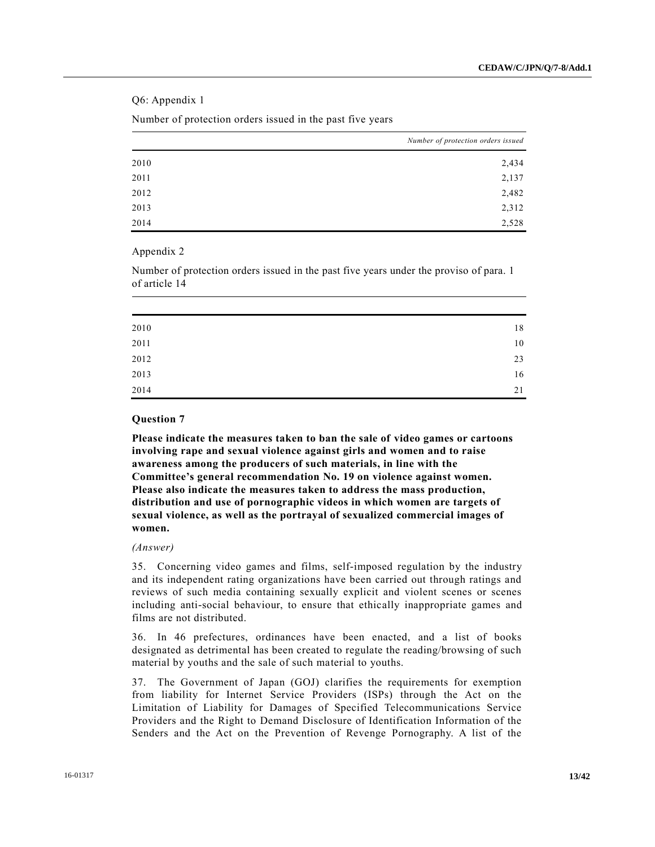Q6: Appendix 1

Number of protection orders issued in the past five years

|      | Number of protection orders issued |
|------|------------------------------------|
| 2010 | 2,434                              |
| 2011 | 2,137                              |
| 2012 | 2,482                              |
| 2013 | 2,312                              |
| 2014 | 2,528                              |

## Appendix 2

Number of protection orders issued in the past five years under the proviso of para. 1 of article 14

| 2010 | 18 |
|------|----|
| 2011 | 10 |
| 2012 | 23 |
| 2013 | 16 |
| 2014 | 21 |

## **Question 7**

**Please indicate the measures taken to ban the sale of video games or cartoons involving rape and sexual violence against girls and women and to raise awareness among the producers of such materials, in line with the Committee's general recommendation No. 19 on violence against women. Please also indicate the measures taken to address the mass production, distribution and use of pornographic videos in which women are targets of sexual violence, as well as the portrayal of sexualized commercial images of women.**

## *(Answer)*

35. Concerning video games and films, self-imposed regulation by the industry and its independent rating organizations have been carried out through ratings and reviews of such media containing sexually explicit and violent scenes or scenes including anti-social behaviour, to ensure that ethically inappropriate games and films are not distributed.

36. In 46 prefectures, ordinances have been enacted, and a list of books designated as detrimental has been created to regulate the reading/browsing of such material by youths and the sale of such material to youths.

37. The Government of Japan (GOJ) clarifies the requirements for exemption from liability for Internet Service Providers (ISPs) through the Act on the Limitation of Liability for Damages of Specified Telecommunications Service Providers and the Right to Demand Disclosure of Identification Information of the Senders and the Act on the Prevention of Revenge Pornography. A list of the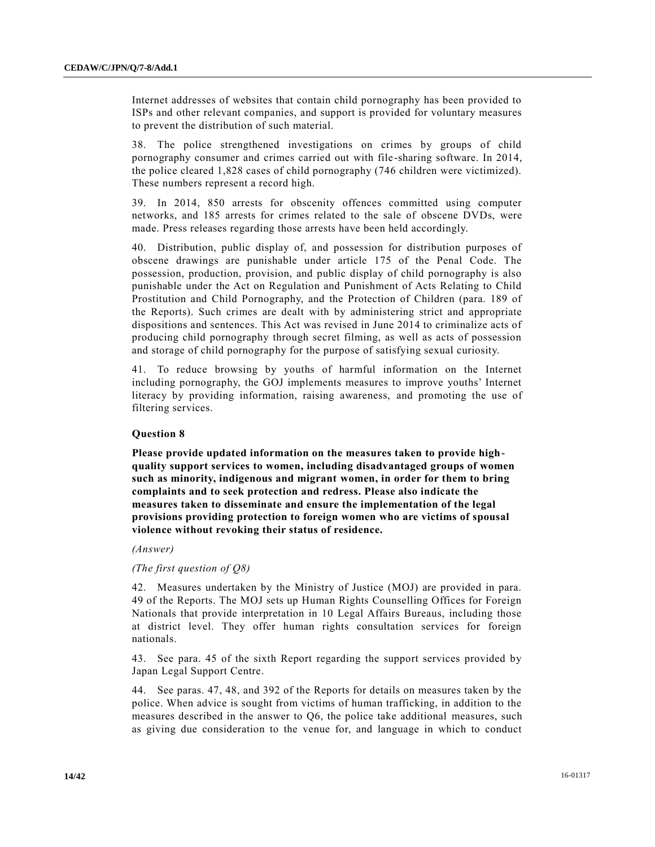Internet addresses of websites that contain child pornography has been provided to ISPs and other relevant companies, and support is provided for voluntary measures to prevent the distribution of such material.

38. The police strengthened investigations on crimes by groups of child pornography consumer and crimes carried out with file-sharing software. In 2014, the police cleared 1,828 cases of child pornography (746 children were victimized). These numbers represent a record high.

39. In 2014, 850 arrests for obscenity offences committed using computer networks, and 185 arrests for crimes related to the sale of obscene DVDs, were made. Press releases regarding those arrests have been held accordingly.

40. Distribution, public display of, and possession for distribution purposes of obscene drawings are punishable under article 175 of the Penal Code. The possession, production, provision, and public display of child pornography is also punishable under the Act on Regulation and Punishment of Acts Relating to Child Prostitution and Child Pornography, and the Protection of Children (para. 189 of the Reports). Such crimes are dealt with by administering strict and appropriate dispositions and sentences. This Act was revised in June 2014 to criminalize acts of producing child pornography through secret filming, as well as acts of possession and storage of child pornography for the purpose of satisfying sexual curiosity.

41. To reduce browsing by youths of harmful information on the Internet including pornography, the GOJ implements measures to improve youths' Internet literacy by providing information, raising awareness, and promoting the use of filtering services.

## **Question 8**

**Please provide updated information on the measures taken to provide highquality support services to women, including disadvantaged groups of women such as minority, indigenous and migrant women, in order for them to bring complaints and to seek protection and redress. Please also indicate the measures taken to disseminate and ensure the implementation of the legal provisions providing protection to foreign women who are victims of spousal violence without revoking their status of residence.**

*(Answer)*

*(The first question of Q8)*

42. Measures undertaken by the Ministry of Justice (MOJ) are provided in para. 49 of the Reports. The MOJ sets up Human Rights Counselling Offices for Foreign Nationals that provide interpretation in 10 Legal Affairs Bureaus, including those at district level. They offer human rights consultation services for foreign nationals.

43. See para. 45 of the sixth Report regarding the support services provided by Japan Legal Support Centre.

44. See paras. 47, 48, and 392 of the Reports for details on measures taken by the police. When advice is sought from victims of human trafficking, in addition to the measures described in the answer to Q6, the police take additional measures, such as giving due consideration to the venue for, and language in which to conduct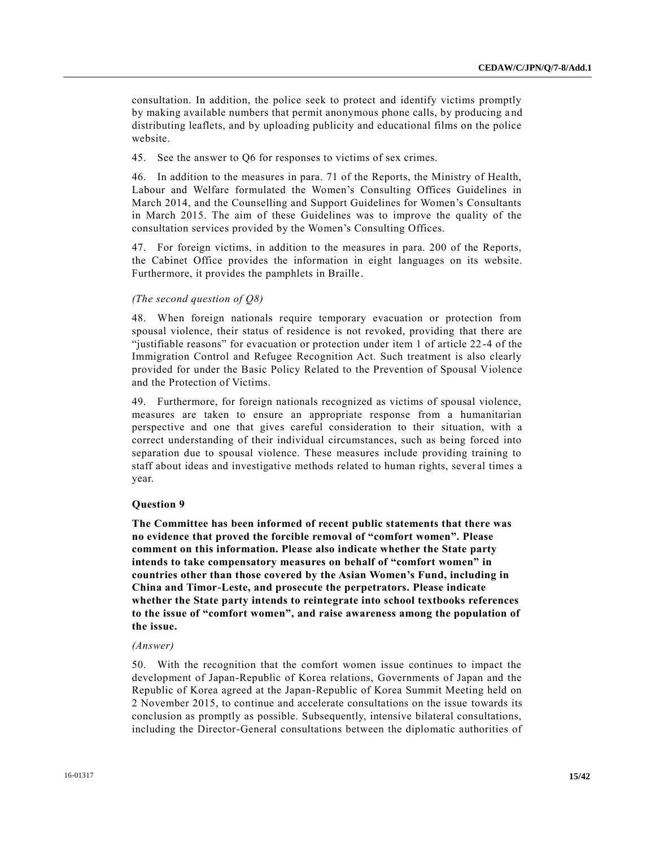consultation. In addition, the police seek to protect and identify victims promptly by making available numbers that permit anonymous phone calls, by producing a nd distributing leaflets, and by uploading publicity and educational films on the police website.

45. See the answer to Q6 for responses to victims of sex crimes.

46. In addition to the measures in para. 71 of the Reports, the Ministry of Health, Labour and Welfare formulated the Women's Consulting Offices Guidelines in March 2014, and the Counselling and Support Guidelines for Women's Consultants in March 2015. The aim of these Guidelines was to improve the quality of the consultation services provided by the Women's Consulting Offices.

47. For foreign victims, in addition to the measures in para. 200 of the Reports, the Cabinet Office provides the information in eight languages on its website. Furthermore, it provides the pamphlets in Braille.

## *(The second question of Q8)*

48. When foreign nationals require temporary evacuation or protection from spousal violence, their status of residence is not revoked, providing that there are "justifiable reasons" for evacuation or protection under item 1 of article 22 -4 of the Immigration Control and Refugee Recognition Act. Such treatment is also clearly provided for under the Basic Policy Related to the Prevention of Spousal Violence and the Protection of Victims.

49. Furthermore, for foreign nationals recognized as victims of spousal violence, measures are taken to ensure an appropriate response from a humanitarian perspective and one that gives careful consideration to their situation, with a correct understanding of their individual circumstances, such as being forced into separation due to spousal violence. These measures include providing training to staff about ideas and investigative methods related to human rights, sever al times a year.

#### **Question 9**

**The Committee has been informed of recent public statements that there was no evidence that proved the forcible removal of "comfort women". Please comment on this information. Please also indicate whether the State party intends to take compensatory measures on behalf of "comfort women" in countries other than those covered by the Asian Women's Fund, including in China and Timor-Leste, and prosecute the perpetrators. Please indicate whether the State party intends to reintegrate into school textbooks references to the issue of "comfort women", and raise awareness among the population of the issue.**

#### *(Answer)*

50. With the recognition that the comfort women issue continues to impact the development of Japan-Republic of Korea relations, Governments of Japan and the Republic of Korea agreed at the Japan-Republic of Korea Summit Meeting held on 2 November 2015, to continue and accelerate consultations on the issue towards its conclusion as promptly as possible. Subsequently, intensive bilateral consultations, including the Director-General consultations between the diplomatic authorities of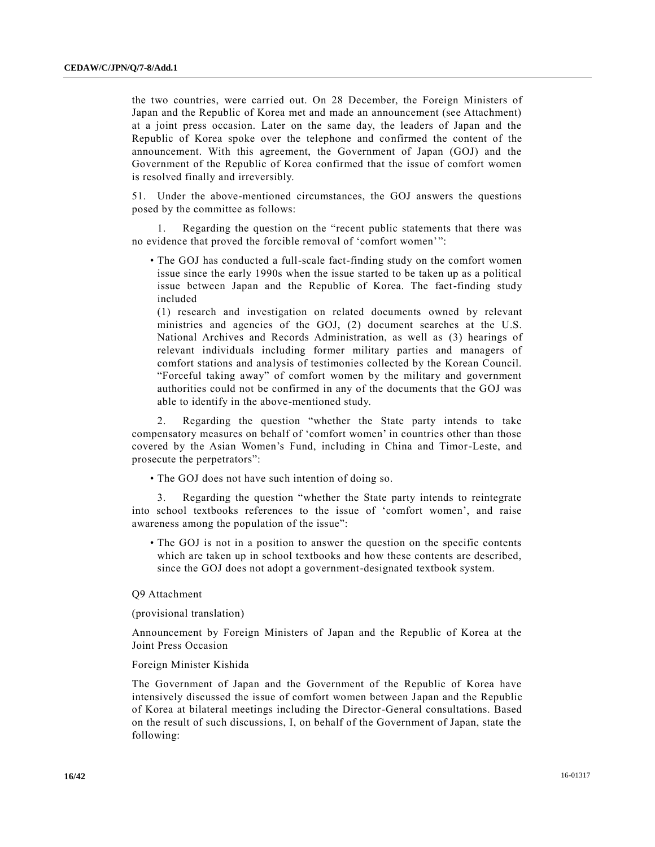the two countries, were carried out. On 28 December, the Foreign Ministers of Japan and the Republic of Korea met and made an announcement (see Attachment) at a joint press occasion. Later on the same day, the leaders of Japan and the Republic of Korea spoke over the telephone and confirmed the content of the announcement. With this agreement, the Government of Japan (GOJ) and the Government of the Republic of Korea confirmed that the issue of comfort women is resolved finally and irreversibly.

51. Under the above-mentioned circumstances, the GOJ answers the questions posed by the committee as follows:

1. Regarding the question on the "recent public statements that there was no evidence that proved the forcible removal of 'comfort women'":

• The GOJ has conducted a full-scale fact-finding study on the comfort women issue since the early 1990s when the issue started to be taken up as a political issue between Japan and the Republic of Korea. The fact-finding study included

(1) research and investigation on related documents owned by relevant ministries and agencies of the GOJ, (2) document searches at the U.S. National Archives and Records Administration, as well as (3) hearings of relevant individuals including former military parties and managers of comfort stations and analysis of testimonies collected by the Korean Council. "Forceful taking away" of comfort women by the military and government authorities could not be confirmed in any of the documents that the GOJ was able to identify in the above-mentioned study.

2. Regarding the question "whether the State party intends to take compensatory measures on behalf of 'comfort women' in countries other than those covered by the Asian Women's Fund, including in China and Timor-Leste, and prosecute the perpetrators":

• The GOJ does not have such intention of doing so.

3. Regarding the question "whether the State party intends to reintegrate into school textbooks references to the issue of 'comfort women', and raise awareness among the population of the issue":

• The GOJ is not in a position to answer the question on the specific contents which are taken up in school textbooks and how these contents are described, since the GOJ does not adopt a government-designated textbook system.

## Q9 Attachment

(provisional translation)

Announcement by Foreign Ministers of Japan and the Republic of Korea at the Joint Press Occasion

#### Foreign Minister Kishida

The Government of Japan and the Government of the Republic of Korea have intensively discussed the issue of comfort women between Japan and the Republic of Korea at bilateral meetings including the Director-General consultations. Based on the result of such discussions, I, on behalf of the Government of Japan, state the following: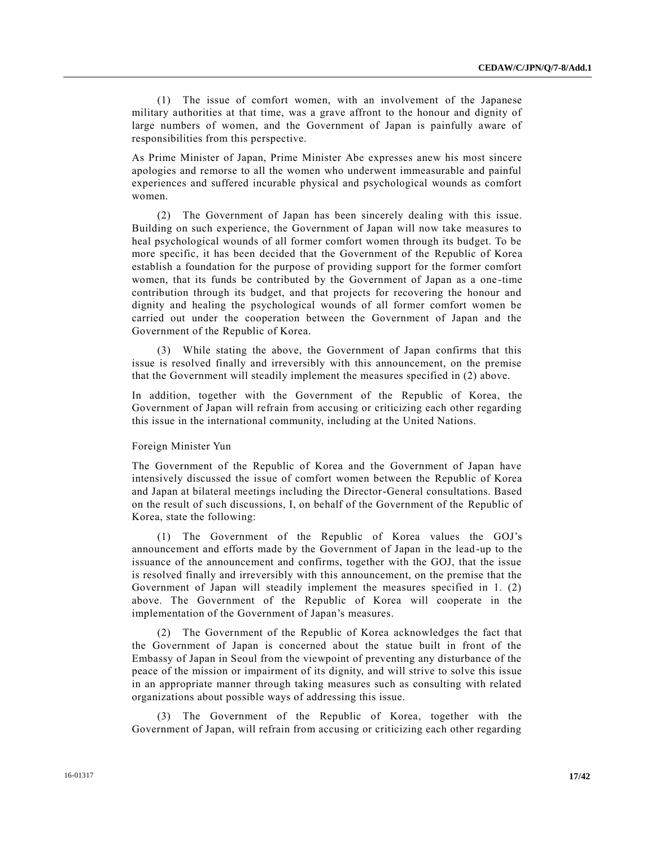(1) The issue of comfort women, with an involvement of the Japanese military authorities at that time, was a grave affront to the honour and dignity of large numbers of women, and the Government of Japan is painfully aware of responsibilities from this perspective.

As Prime Minister of Japan, Prime Minister Abe expresses anew his most sincere apologies and remorse to all the women who underwent immeasurable and painful experiences and suffered incurable physical and psychological wounds as comfort women.

(2) The Government of Japan has been sincerely dealing with this issue. Building on such experience, the Government of Japan will now take measures to heal psychological wounds of all former comfort women through its budget. To be more specific, it has been decided that the Government of the Republic of Korea establish a foundation for the purpose of providing support for the former comfort women, that its funds be contributed by the Government of Japan as a one -time contribution through its budget, and that projects for recovering the honour and dignity and healing the psychological wounds of all former comfort women be carried out under the cooperation between the Government of Japan and the Government of the Republic of Korea.

(3) While stating the above, the Government of Japan confirms that this issue is resolved finally and irreversibly with this announcement, on the premise that the Government will steadily implement the measures specified in (2) above.

In addition, together with the Government of the Republic of Korea, the Government of Japan will refrain from accusing or criticizing each other regarding this issue in the international community, including at the United Nations.

#### Foreign Minister Yun

The Government of the Republic of Korea and the Government of Japan have intensively discussed the issue of comfort women between the Republic of Korea and Japan at bilateral meetings including the Director-General consultations. Based on the result of such discussions, I, on behalf of the Government of the Republic of Korea, state the following:

(1) The Government of the Republic of Korea values the GOJ's announcement and efforts made by the Government of Japan in the lead -up to the issuance of the announcement and confirms, together with the GOJ, that the issue is resolved finally and irreversibly with this announcement, on the premise that the Government of Japan will steadily implement the measures specified in 1. (2) above. The Government of the Republic of Korea will cooperate in the implementation of the Government of Japan's measures.

(2) The Government of the Republic of Korea acknowledges the fact that the Government of Japan is concerned about the statue built in front of the Embassy of Japan in Seoul from the viewpoint of preventing any disturbance of the peace of the mission or impairment of its dignity, and will strive to solve this issue in an appropriate manner through taking measures such as consulting with related organizations about possible ways of addressing this issue.

(3) The Government of the Republic of Korea, together with the Government of Japan, will refrain from accusing or criticizing each other regarding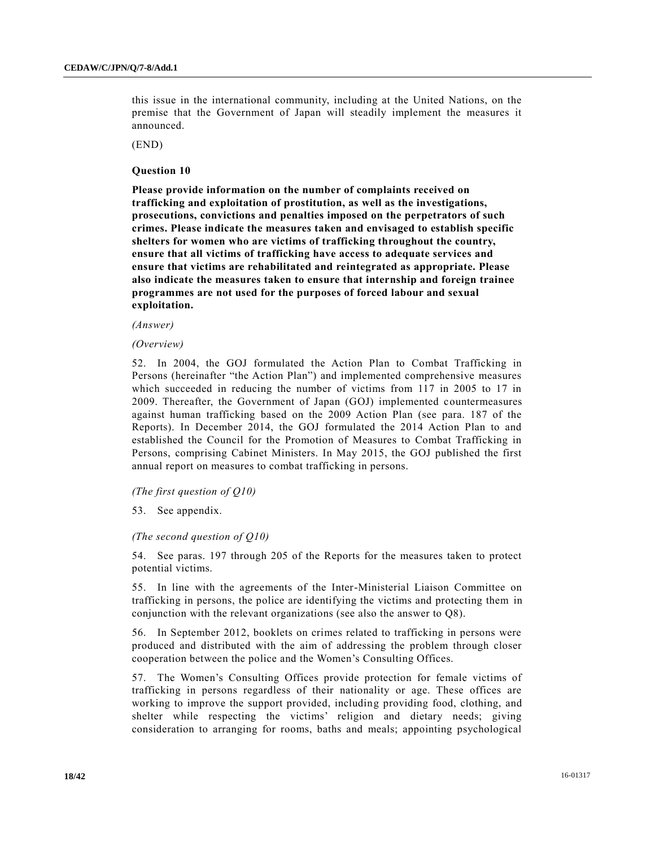this issue in the international community, including at the United Nations, on the premise that the Government of Japan will steadily implement the measures it announced.

(END)

## **Question 10**

**Please provide information on the number of complaints received on trafficking and exploitation of prostitution, as well as the investigations, prosecutions, convictions and penalties imposed on the perpetrators of such crimes. Please indicate the measures taken and envisaged to establish specific shelters for women who are victims of trafficking throughout the country, ensure that all victims of trafficking have access to adequate services and ensure that victims are rehabilitated and reintegrated as appropriate. Please also indicate the measures taken to ensure that internship and foreign trainee programmes are not used for the purposes of forced labour and sexual exploitation.**

*(Answer)*

#### *(Overview)*

52. In 2004, the GOJ formulated the Action Plan to Combat Trafficking in Persons (hereinafter "the Action Plan") and implemented comprehensive measures which succeeded in reducing the number of victims from 117 in 2005 to 17 in 2009. Thereafter, the Government of Japan (GOJ) implemented countermeasures against human trafficking based on the 2009 Action Plan (see para. 187 of the Reports). In December 2014, the GOJ formulated the 2014 Action Plan to and established the Council for the Promotion of Measures to Combat Trafficking in Persons, comprising Cabinet Ministers. In May 2015, the GOJ published the first annual report on measures to combat trafficking in persons.

#### *(The first question of Q10)*

53. See appendix.

## *(The second question of Q10)*

54. See paras. 197 through 205 of the Reports for the measures taken to protect potential victims.

55. In line with the agreements of the Inter-Ministerial Liaison Committee on trafficking in persons, the police are identifying the victims and protecting them in conjunction with the relevant organizations (see also the answer to Q8).

56. In September 2012, booklets on crimes related to trafficking in persons were produced and distributed with the aim of addressing the problem through closer cooperation between the police and the Women's Consulting Offices.

57. The Women's Consulting Offices provide protection for female victims of trafficking in persons regardless of their nationality or age. These offices are working to improve the support provided, including providing food, clothing, and shelter while respecting the victims' religion and dietary needs; giving consideration to arranging for rooms, baths and meals; appointing psychological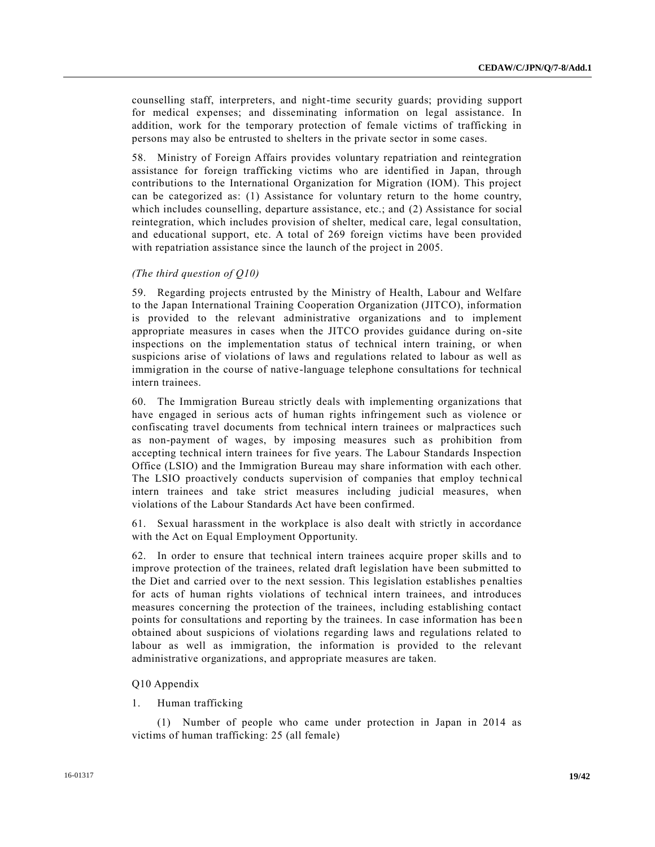counselling staff, interpreters, and night-time security guards; providing support for medical expenses; and disseminating information on legal assistance. In addition, work for the temporary protection of female victims of trafficking in persons may also be entrusted to shelters in the private sector in some cases.

58. Ministry of Foreign Affairs provides voluntary repatriation and reintegration assistance for foreign trafficking victims who are identified in Japan, through contributions to the International Organization for Migration (IOM). This project can be categorized as: (1) Assistance for voluntary return to the home country, which includes counselling, departure assistance, etc.; and (2) Assistance for social reintegration, which includes provision of shelter, medical care, legal consultation, and educational support, etc. A total of 269 foreign victims have been provided with repatriation assistance since the launch of the project in 2005.

## *(The third question of Q10)*

59. Regarding projects entrusted by the Ministry of Health, Labour and Welfare to the Japan International Training Cooperation Organization (JITCO), information is provided to the relevant administrative organizations and to implement appropriate measures in cases when the JITCO provides guidance during on-site inspections on the implementation status of technical intern training, or when suspicions arise of violations of laws and regulations related to labour as well as immigration in the course of native-language telephone consultations for technical intern trainees.

60. The Immigration Bureau strictly deals with implementing organizations that have engaged in serious acts of human rights infringement such as violence or confiscating travel documents from technical intern trainees or malpractices such as non-payment of wages, by imposing measures such as prohibition from accepting technical intern trainees for five years. The Labour Standards Inspection Office (LSIO) and the Immigration Bureau may share information with each other. The LSIO proactively conducts supervision of companies that employ technical intern trainees and take strict measures including judicial measures, when violations of the Labour Standards Act have been confirmed.

61. Sexual harassment in the workplace is also dealt with strictly in accordance with the Act on Equal Employment Opportunity.

62. In order to ensure that technical intern trainees acquire proper skills and to improve protection of the trainees, related draft legislation have been submitted to the Diet and carried over to the next session. This legislation establishes p enalties for acts of human rights violations of technical intern trainees, and introduces measures concerning the protection of the trainees, including establishing contact points for consultations and reporting by the trainees. In case information has bee n obtained about suspicions of violations regarding laws and regulations related to labour as well as immigration, the information is provided to the relevant administrative organizations, and appropriate measures are taken.

## Q10 Appendix

## 1. Human trafficking

(1) Number of people who came under protection in Japan in 2014 as victims of human trafficking: 25 (all female)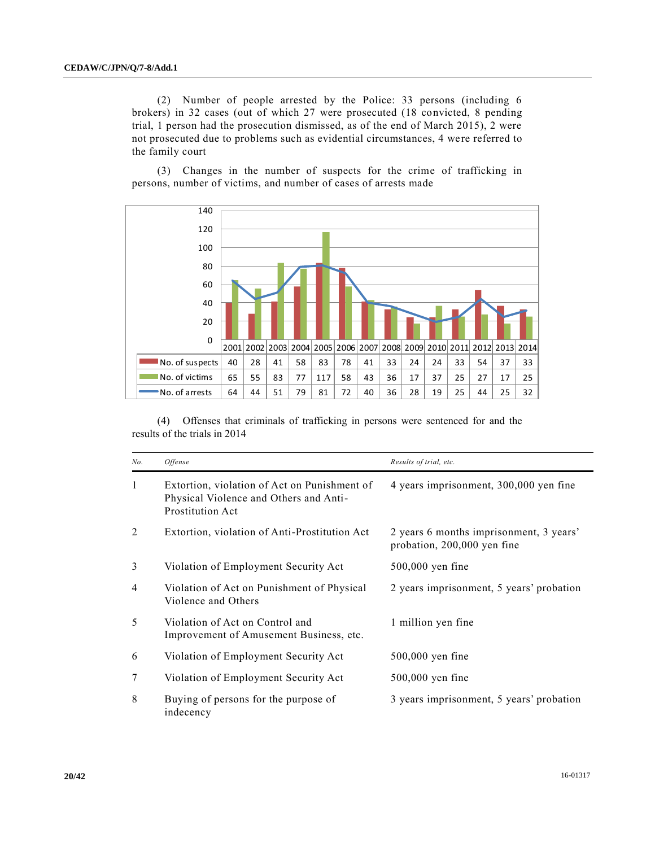(2) Number of people arrested by the Police: 33 persons (including 6 brokers) in 32 cases (out of which 27 were prosecuted (18 convicted, 8 pending trial, 1 person had the prosecution dismissed, as of the end of March 2015), 2 were not prosecuted due to problems such as evidential circumstances, 4 were referred to the family court

(3) Changes in the number of suspects for the crime of trafficking in persons, number of victims, and number of cases of arrests made



(4) Offenses that criminals of trafficking in persons were sentenced for and the results of the trials in 2014

| No. | <i><b>Offense</b></i>                                                                                      | Results of trial, etc.                                                 |
|-----|------------------------------------------------------------------------------------------------------------|------------------------------------------------------------------------|
| 1   | Extortion, violation of Act on Punishment of<br>Physical Violence and Others and Anti-<br>Prostitution Act | 4 years imprisonment, 300,000 yen fine                                 |
| 2   | Extortion, violation of Anti-Prostitution Act                                                              | 2 years 6 months imprisonment, 3 years'<br>probation, 200,000 yen fine |
| 3   | Violation of Employment Security Act                                                                       | $500,000$ yen fine                                                     |
| 4   | Violation of Act on Punishment of Physical<br>Violence and Others                                          | 2 years imprisonment, 5 years' probation                               |
| 5   | Violation of Act on Control and<br>Improvement of Amusement Business, etc.                                 | 1 million yen fine                                                     |
| 6   | Violation of Employment Security Act                                                                       | $500,000$ yen fine                                                     |
| 7   | Violation of Employment Security Act                                                                       | $500,000$ yen fine                                                     |
| 8   | Buying of persons for the purpose of<br>indecency                                                          | 3 years imprisonment, 5 years' probation                               |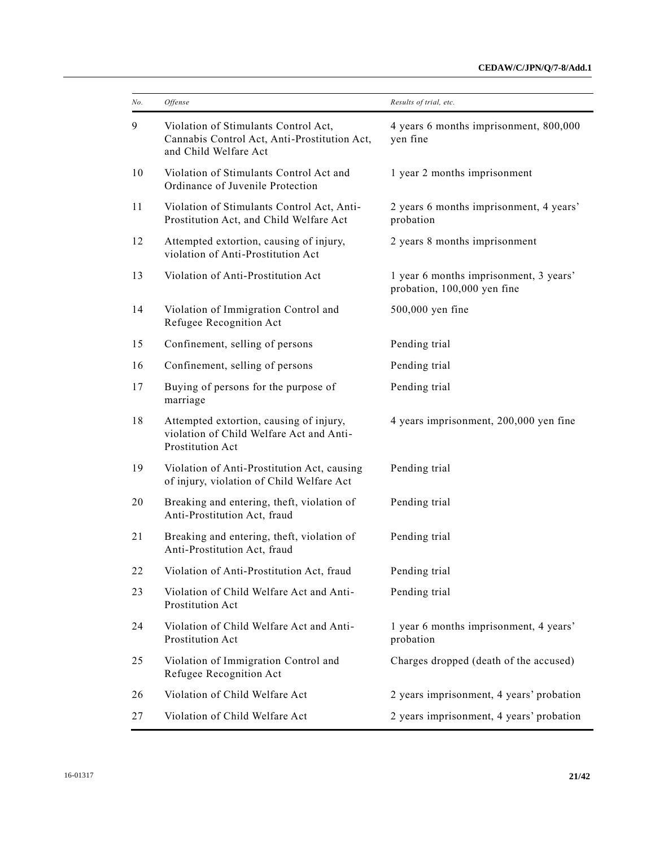| No. | <i>Offense</i>                                                                                                | Results of trial, etc.                                                |
|-----|---------------------------------------------------------------------------------------------------------------|-----------------------------------------------------------------------|
| 9   | Violation of Stimulants Control Act,<br>Cannabis Control Act, Anti-Prostitution Act,<br>and Child Welfare Act | 4 years 6 months imprisonment, 800,000<br>yen fine                    |
| 10  | Violation of Stimulants Control Act and<br>Ordinance of Juvenile Protection                                   | 1 year 2 months imprisonment                                          |
| 11  | Violation of Stimulants Control Act, Anti-<br>Prostitution Act, and Child Welfare Act                         | 2 years 6 months imprisonment, 4 years'<br>probation                  |
| 12  | Attempted extortion, causing of injury,<br>violation of Anti-Prostitution Act                                 | 2 years 8 months imprisonment                                         |
| 13  | Violation of Anti-Prostitution Act                                                                            | 1 year 6 months imprisonment, 3 years'<br>probation, 100,000 yen fine |
| 14  | Violation of Immigration Control and<br>Refugee Recognition Act                                               | 500,000 yen fine                                                      |
| 15  | Confinement, selling of persons                                                                               | Pending trial                                                         |
| 16  | Confinement, selling of persons                                                                               | Pending trial                                                         |
| 17  | Buying of persons for the purpose of<br>marriage                                                              | Pending trial                                                         |
| 18  | Attempted extortion, causing of injury,<br>violation of Child Welfare Act and Anti-<br>Prostitution Act       | 4 years imprisonment, 200,000 yen fine                                |
| 19  | Violation of Anti-Prostitution Act, causing<br>of injury, violation of Child Welfare Act                      | Pending trial                                                         |
| 20  | Breaking and entering, theft, violation of<br>Anti-Prostitution Act, fraud                                    | Pending trial                                                         |
| 21  | Breaking and entering, theft, violation of<br>Anti-Prostitution Act, fraud                                    | Pending trial                                                         |
| 22  | Violation of Anti-Prostitution Act, fraud                                                                     | Pending trial                                                         |
| 23  | Violation of Child Welfare Act and Anti-<br>Prostitution Act                                                  | Pending trial                                                         |
| 24  | Violation of Child Welfare Act and Anti-<br>Prostitution Act                                                  | 1 year 6 months imprisonment, 4 years'<br>probation                   |
| 25  | Violation of Immigration Control and<br>Refugee Recognition Act                                               | Charges dropped (death of the accused)                                |
| 26  | Violation of Child Welfare Act                                                                                | 2 years imprisonment, 4 years' probation                              |
| 27  | Violation of Child Welfare Act                                                                                | 2 years imprisonment, 4 years' probation                              |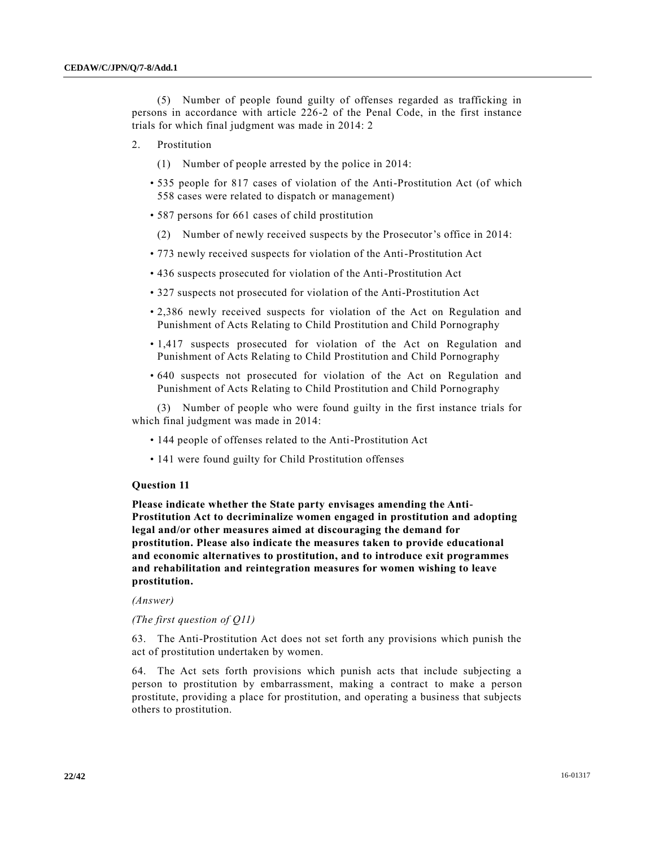(5) Number of people found guilty of offenses regarded as trafficking in persons in accordance with article 226-2 of the Penal Code, in the first instance trials for which final judgment was made in 2014: 2

- 2. Prostitution
	- (1) Number of people arrested by the police in 2014:
	- 535 people for 817 cases of violation of the Anti-Prostitution Act (of which 558 cases were related to dispatch or management)
	- 587 persons for 661 cases of child prostitution
		- (2) Number of newly received suspects by the Prosecutor's office in 2014:
	- 773 newly received suspects for violation of the Anti-Prostitution Act
	- 436 suspects prosecuted for violation of the Anti-Prostitution Act
	- 327 suspects not prosecuted for violation of the Anti-Prostitution Act
	- 2,386 newly received suspects for violation of the Act on Regulation and Punishment of Acts Relating to Child Prostitution and Child Pornography
	- 1,417 suspects prosecuted for violation of the Act on Regulation and Punishment of Acts Relating to Child Prostitution and Child Pornography
	- 640 suspects not prosecuted for violation of the Act on Regulation and Punishment of Acts Relating to Child Prostitution and Child Pornography

(3) Number of people who were found guilty in the first instance trials for which final judgment was made in 2014:

- 144 people of offenses related to the Anti-Prostitution Act
- 141 were found guilty for Child Prostitution offenses

## **Question 11**

**Please indicate whether the State party envisages amending the Anti-Prostitution Act to decriminalize women engaged in prostitution and adopting legal and/or other measures aimed at discouraging the demand for prostitution. Please also indicate the measures taken to provide educational and economic alternatives to prostitution, and to introduce exit programmes and rehabilitation and reintegration measures for women wishing to leave prostitution.**

## *(Answer)*

## *(The first question of Q11)*

63. The Anti-Prostitution Act does not set forth any provisions which punish the act of prostitution undertaken by women.

64. The Act sets forth provisions which punish acts that include subjecting a person to prostitution by embarrassment, making a contract to make a person prostitute, providing a place for prostitution, and operating a business that subjects others to prostitution.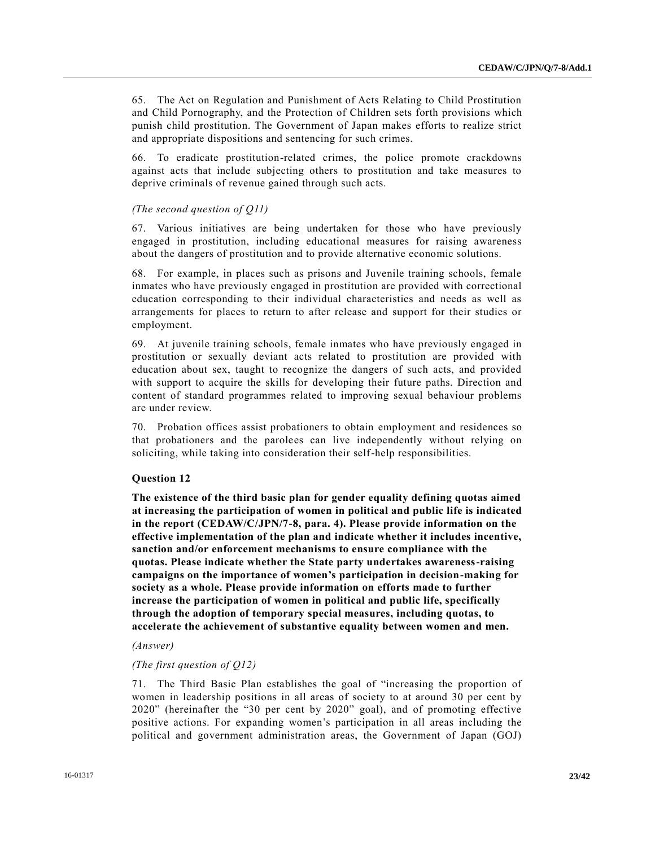65. The Act on Regulation and Punishment of Acts Relating to Child Prostitution and Child Pornography, and the Protection of Children sets forth provisions which punish child prostitution. The Government of Japan makes efforts to realize strict and appropriate dispositions and sentencing for such crimes.

66. To eradicate prostitution-related crimes, the police promote crackdowns against acts that include subjecting others to prostitution and take measures to deprive criminals of revenue gained through such acts.

## *(The second question of Q11)*

67. Various initiatives are being undertaken for those who have previously engaged in prostitution, including educational measures for raising awareness about the dangers of prostitution and to provide alternative economic solutions.

68. For example, in places such as prisons and Juvenile training schools, female inmates who have previously engaged in prostitution are provided with correctional education corresponding to their individual characteristics and needs as well as arrangements for places to return to after release and support for their studies or employment.

69. At juvenile training schools, female inmates who have previously engaged in prostitution or sexually deviant acts related to prostitution are provided with education about sex, taught to recognize the dangers of such acts, and provided with support to acquire the skills for developing their future paths. Direction and content of standard programmes related to improving sexual behaviour problems are under review.

70. Probation offices assist probationers to obtain employment and residences so that probationers and the parolees can live independently without relying on soliciting, while taking into consideration their self-help responsibilities.

## **Question 12**

**The existence of the third basic plan for gender equality defining quotas aimed at increasing the participation of women in political and public life is indicated in the report (CEDAW/C/JPN/7-8, para. 4). Please provide information on the effective implementation of the plan and indicate whether it includes incentive, sanction and/or enforcement mechanisms to ensure compliance with the quotas. Please indicate whether the State party undertakes awareness-raising campaigns on the importance of women's participation in decision-making for society as a whole. Please provide information on efforts made to further increase the participation of women in political and public life, specifically through the adoption of temporary special measures, including quotas, to accelerate the achievement of substantive equality between women and men.**

## *(Answer)*

## *(The first question of Q12)*

71. The Third Basic Plan establishes the goal of "increasing the proportion of women in leadership positions in all areas of society to at around 30 per cent by 2020" (hereinafter the "30 per cent by 2020" goal), and of promoting effective positive actions. For expanding women's participation in all areas including the political and government administration areas, the Government of Japan (GOJ)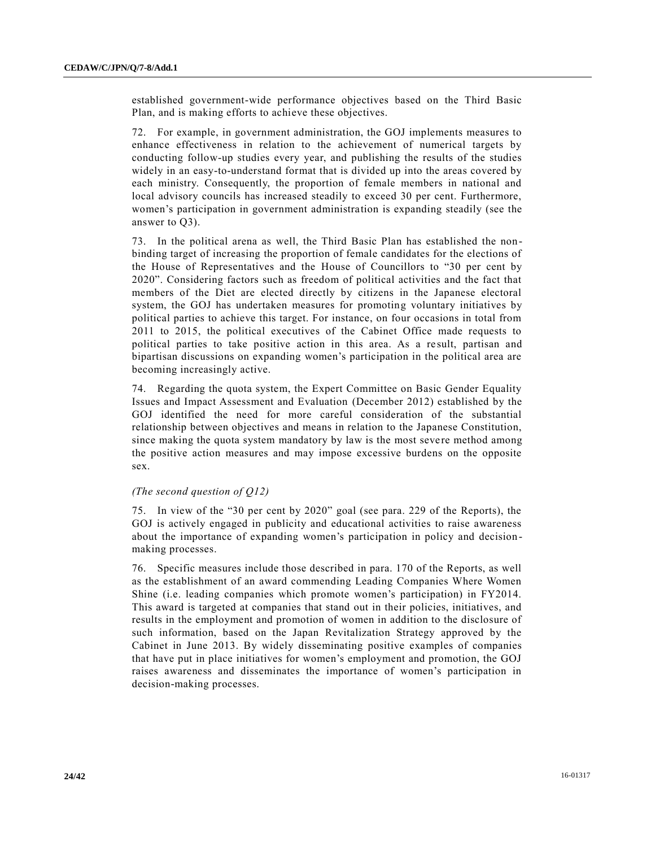established government-wide performance objectives based on the Third Basic Plan, and is making efforts to achieve these objectives.

72. For example, in government administration, the GOJ implements measures to enhance effectiveness in relation to the achievement of numerical targets by conducting follow-up studies every year, and publishing the results of the studies widely in an easy-to-understand format that is divided up into the areas covered by each ministry. Consequently, the proportion of female members in national and local advisory councils has increased steadily to exceed 30 per cent. Furthermore, women's participation in government administration is expanding steadily (see the answer to Q3).

73. In the political arena as well, the Third Basic Plan has established the non binding target of increasing the proportion of female candidates for the elections of the House of Representatives and the House of Councillors to "30 per cent by 2020". Considering factors such as freedom of political activities and the fact that members of the Diet are elected directly by citizens in the Japanese electoral system, the GOJ has undertaken measures for promoting voluntary initiatives by political parties to achieve this target. For instance, on four occasions in total from 2011 to 2015, the political executives of the Cabinet Office made requests to political parties to take positive action in this area. As a re sult, partisan and bipartisan discussions on expanding women's participation in the political area are becoming increasingly active.

74. Regarding the quota system, the Expert Committee on Basic Gender Equality Issues and Impact Assessment and Evaluation (December 2012) established by the GOJ identified the need for more careful consideration of the substantial relationship between objectives and means in relation to the Japanese Constitution, since making the quota system mandatory by law is the most severe method among the positive action measures and may impose excessive burdens on the opposite sex.

## *(The second question of Q12)*

75. In view of the "30 per cent by 2020" goal (see para. 229 of the Reports), the GOJ is actively engaged in publicity and educational activities to raise awareness about the importance of expanding women's participation in policy and decision making processes.

76. Specific measures include those described in para. 170 of the Reports, as well as the establishment of an award commending Leading Companies Where Women Shine (i.e. leading companies which promote women's participation) in FY2014. This award is targeted at companies that stand out in their policies, initiatives, and results in the employment and promotion of women in addition to the disclosure of such information, based on the Japan Revitalization Strategy approved by the Cabinet in June 2013. By widely disseminating positive examples of companies that have put in place initiatives for women's employment and promotion, the GOJ raises awareness and disseminates the importance of women's participation in decision-making processes.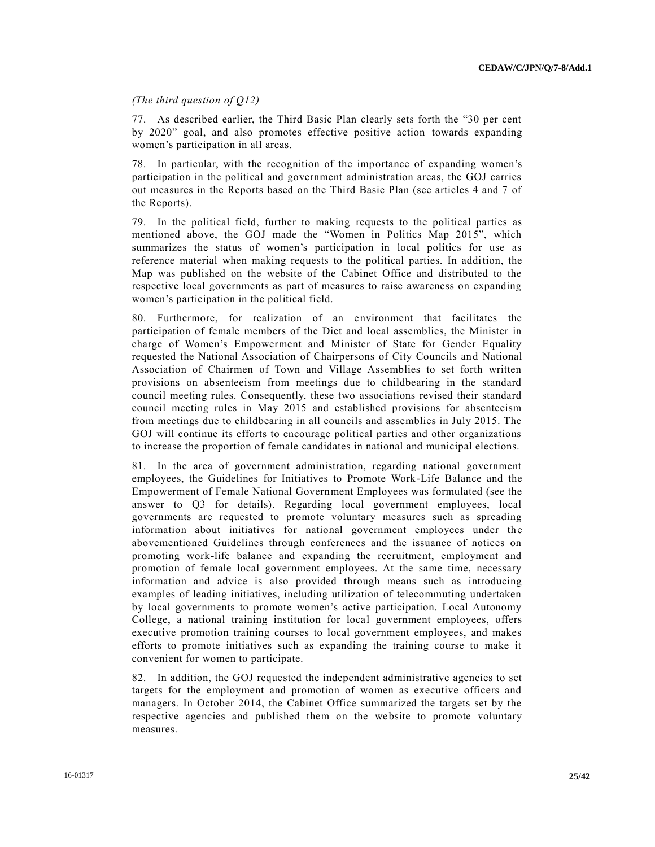*(The third question of Q12)*

77. As described earlier, the Third Basic Plan clearly sets forth the "30 per cent by 2020" goal, and also promotes effective positive action towards expanding women's participation in all areas.

78. In particular, with the recognition of the importance of expanding women's participation in the political and government administration areas, the GOJ carries out measures in the Reports based on the Third Basic Plan (see articles 4 and 7 of the Reports).

79. In the political field, further to making requests to the political parties as mentioned above, the GOJ made the "Women in Politics Map 2015", which summarizes the status of women's participation in local politics for use as reference material when making requests to the political parties. In addition, the Map was published on the website of the Cabinet Office and distributed to the respective local governments as part of measures to raise awareness on expanding women's participation in the political field.

80. Furthermore, for realization of an environment that facilitates the participation of female members of the Diet and local assemblies, the Minister in charge of Women's Empowerment and Minister of State for Gender Equality requested the National Association of Chairpersons of City Councils and National Association of Chairmen of Town and Village Assemblies to set forth written provisions on absenteeism from meetings due to childbearing in the standard council meeting rules. Consequently, these two associations revised their standard council meeting rules in May 2015 and established provisions for absenteeism from meetings due to childbearing in all councils and assemblies in July 2015. The GOJ will continue its efforts to encourage political parties and other organizations to increase the proportion of female candidates in national and municipal elections.

81. In the area of government administration, regarding national government employees, the Guidelines for Initiatives to Promote Work-Life Balance and the Empowerment of Female National Government Employees was formulated (see the answer to Q3 for details). Regarding local government employees, local governments are requested to promote voluntary measures such as spreading information about initiatives for national government employees under the abovementioned Guidelines through conferences and the issuance of notices on promoting work-life balance and expanding the recruitment, employment and promotion of female local government employees. At the same time, necessary information and advice is also provided through means such as introducing examples of leading initiatives, including utilization of telecommuting undertaken by local governments to promote women's active participation. Local Autonomy College, a national training institution for local government employees, offers executive promotion training courses to local government employees, and makes efforts to promote initiatives such as expanding the training course to make it convenient for women to participate.

82. In addition, the GOJ requested the independent administrative agencies to set targets for the employment and promotion of women as executive officers and managers. In October 2014, the Cabinet Office summarized the targets set by the respective agencies and published them on the website to promote voluntary measures.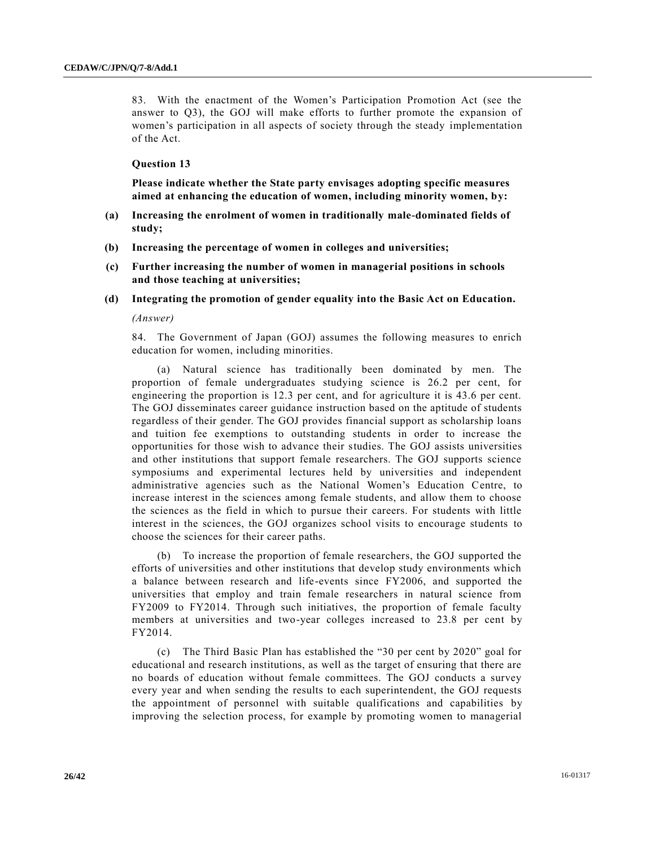83. With the enactment of the Women's Participation Promotion Act (see the answer to Q3), the GOJ will make efforts to further promote the expansion of women's participation in all aspects of society through the steady implementation of the Act.

## **Question 13**

**Please indicate whether the State party envisages adopting specific measures aimed at enhancing the education of women, including minority women, by:**

- **(a) Increasing the enrolment of women in traditionally male-dominated fields of study;**
- **(b) Increasing the percentage of women in colleges and universities;**
- **(c) Further increasing the number of women in managerial positions in schools and those teaching at universities;**
- **(d) Integrating the promotion of gender equality into the Basic Act on Education.**

*(Answer)*

84. The Government of Japan (GOJ) assumes the following measures to enrich education for women, including minorities.

(a) Natural science has traditionally been dominated by men. The proportion of female undergraduates studying science is 26.2 per cent, for engineering the proportion is 12.3 per cent, and for agriculture it is 43.6 per cent. The GOJ disseminates career guidance instruction based on the aptitude of students regardless of their gender. The GOJ provides financial support as scholarship loans and tuition fee exemptions to outstanding students in order to increase the opportunities for those wish to advance their studies. The GOJ assists universities and other institutions that support female researchers. The GOJ supports science symposiums and experimental lectures held by universities and independent administrative agencies such as the National Women's Education Centre, to increase interest in the sciences among female students, and allow them to choose the sciences as the field in which to pursue their careers. For students with little interest in the sciences, the GOJ organizes school visits to encourage students to choose the sciences for their career paths.

(b) To increase the proportion of female researchers, the GOJ supported the efforts of universities and other institutions that develop study environments which a balance between research and life-events since FY2006, and supported the universities that employ and train female researchers in natural science from FY2009 to FY2014. Through such initiatives, the proportion of female faculty members at universities and two-year colleges increased to 23.8 per cent by FY2014.

(c) The Third Basic Plan has established the "30 per cent by 2020" goal for educational and research institutions, as well as the target of ensuring that there are no boards of education without female committees. The GOJ conducts a survey every year and when sending the results to each superintendent, the GOJ requests the appointment of personnel with suitable qualifications and capabilities by improving the selection process, for example by promoting women to managerial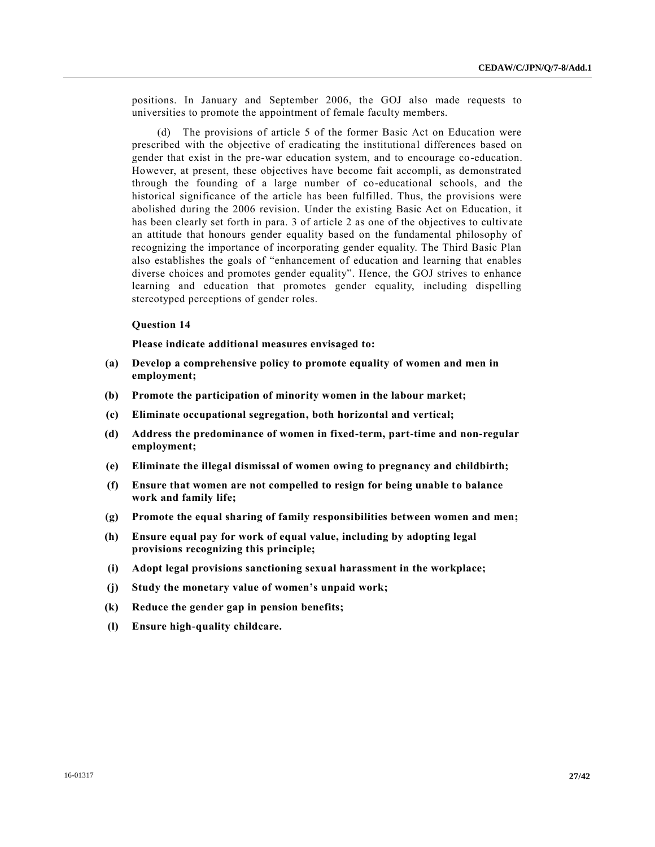positions. In January and September 2006, the GOJ also made requests to universities to promote the appointment of female faculty members.

(d) The provisions of article 5 of the former Basic Act on Education were prescribed with the objective of eradicating the institutional differences based on gender that exist in the pre-war education system, and to encourage co-education. However, at present, these objectives have become fait accompli, as demonstrated through the founding of a large number of co-educational schools, and the historical significance of the article has been fulfilled. Thus, the provisions were abolished during the 2006 revision. Under the existing Basic Act on Education, it has been clearly set forth in para. 3 of article 2 as one of the objectives to cultivate an attitude that honours gender equality based on the fundamental philosophy of recognizing the importance of incorporating gender equality. The Third Basic Plan also establishes the goals of "enhancement of education and learning that enables diverse choices and promotes gender equality". Hence, the GOJ strives to enhance learning and education that promotes gender equality, including dispelling stereotyped perceptions of gender roles.

#### **Question 14**

**Please indicate additional measures envisaged to:**

- **(a) Develop a comprehensive policy to promote equality of women and men in employment;**
- **(b) Promote the participation of minority women in the labour market;**
- **(c) Eliminate occupational segregation, both horizontal and vertical;**
- **(d) Address the predominance of women in fixed-term, part-time and non-regular employment;**
- **(e) Eliminate the illegal dismissal of women owing to pregnancy and childbirth;**
- **(f) Ensure that women are not compelled to resign for being unable to balance work and family life;**
- **(g) Promote the equal sharing of family responsibilities between women and men;**
- **(h) Ensure equal pay for work of equal value, including by adopting legal provisions recognizing this principle;**
- **(i) Adopt legal provisions sanctioning sexual harassment in the workplace;**
- **(j) Study the monetary value of women's unpaid work;**
- **(k) Reduce the gender gap in pension benefits;**
- **(l) Ensure high-quality childcare.**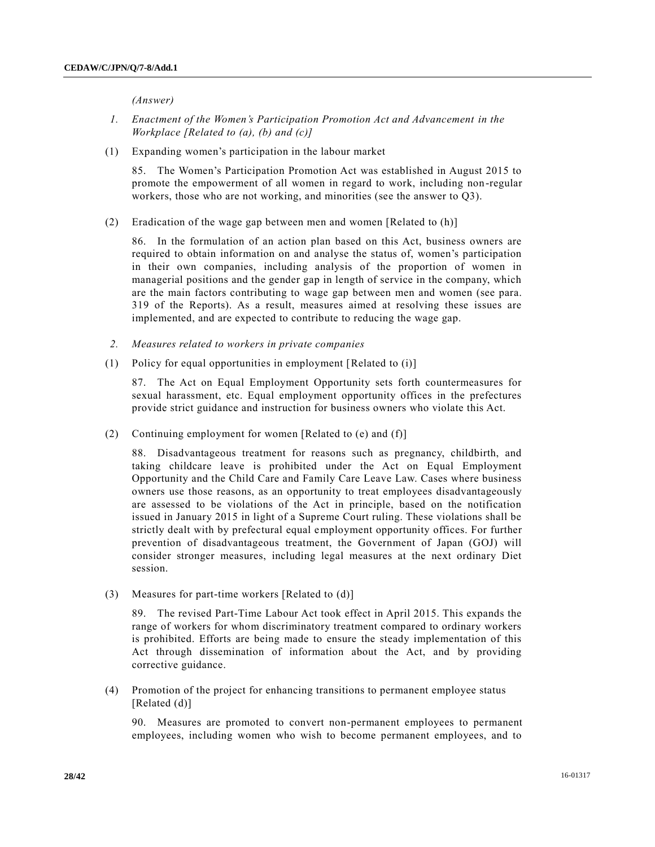*(Answer)*

- *1. Enactment of the Women's Participation Promotion Act and Advancement in the Workplace [Related to (a), (b) and (c)]*
- (1) Expanding women's participation in the labour market

85. The Women's Participation Promotion Act was established in August 2015 to promote the empowerment of all women in regard to work, including non -regular workers, those who are not working, and minorities (see the answer to Q3).

(2) Eradication of the wage gap between men and women [Related to (h)]

86. In the formulation of an action plan based on this Act, business owners are required to obtain information on and analyse the status of, women's participation in their own companies, including analysis of the proportion of women in managerial positions and the gender gap in length of service in the company, which are the main factors contributing to wage gap between men and women (see para. 319 of the Reports). As a result, measures aimed at resolving these issues are implemented, and are expected to contribute to reducing the wage gap.

- *2. Measures related to workers in private companies*
- (1) Policy for equal opportunities in employment [Related to (i)]

87. The Act on Equal Employment Opportunity sets forth countermeasures for sexual harassment, etc. Equal employment opportunity offices in the prefectures provide strict guidance and instruction for business owners who violate this Act.

(2) Continuing employment for women [Related to (e) and (f)]

88. Disadvantageous treatment for reasons such as pregnancy, childbirth, and taking childcare leave is prohibited under the Act on Equal Employment Opportunity and the Child Care and Family Care Leave Law. Cases where business owners use those reasons, as an opportunity to treat employees disadvantageously are assessed to be violations of the Act in principle, based on the notification issued in January 2015 in light of a Supreme Court ruling. These violations shall be strictly dealt with by prefectural equal employment opportunity offices. For further prevention of disadvantageous treatment, the Government of Japan (GOJ) will consider stronger measures, including legal measures at the next ordinary Diet session.

(3) Measures for part-time workers [Related to (d)]

89. The revised Part-Time Labour Act took effect in April 2015. This expands the range of workers for whom discriminatory treatment compared to ordinary workers is prohibited. Efforts are being made to ensure the steady implementation of this Act through dissemination of information about the Act, and by providing corrective guidance.

(4) Promotion of the project for enhancing transitions to permanent employee status [Related (d)]

90. Measures are promoted to convert non-permanent employees to permanent employees, including women who wish to become permanent employees, and to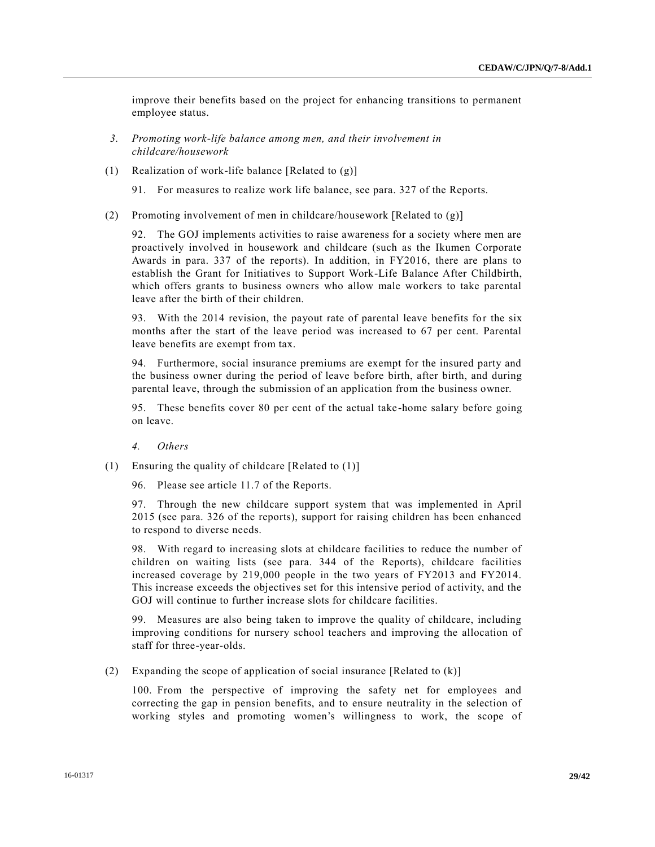improve their benefits based on the project for enhancing transitions to permanent employee status.

- *3. Promoting work-life balance among men, and their involvement in childcare/housework*
- (1) Realization of work-life balance [Related to (g)]
	- 91. For measures to realize work life balance, see para. 327 of the Reports.
- (2) Promoting involvement of men in childcare/housework [Related to (g)]

92. The GOJ implements activities to raise awareness for a society where men are proactively involved in housework and childcare (such as the Ikumen Corporate Awards in para. 337 of the reports). In addition, in FY2016, there are plans to establish the Grant for Initiatives to Support Work-Life Balance After Childbirth, which offers grants to business owners who allow male workers to take parental leave after the birth of their children.

93. With the 2014 revision, the payout rate of parental leave benefits for the six months after the start of the leave period was increased to 67 per cent. Parental leave benefits are exempt from tax.

94. Furthermore, social insurance premiums are exempt for the insured party and the business owner during the period of leave before birth, after birth, and during parental leave, through the submission of an application from the business owner.

95. These benefits cover 80 per cent of the actual take -home salary before going on leave.

*4. Others*

- (1) Ensuring the quality of childcare [Related to (1)]
	- 96. Please see article 11.7 of the Reports.

97. Through the new childcare support system that was implemented in April 2015 (see para. 326 of the reports), support for raising children has been enhanced to respond to diverse needs.

98. With regard to increasing slots at childcare facilities to reduce the number of children on waiting lists (see para. 344 of the Reports), childcare facilities increased coverage by 219,000 people in the two years of FY2013 and FY2014. This increase exceeds the objectives set for this intensive period of activity, and the GOJ will continue to further increase slots for childcare facilities.

99. Measures are also being taken to improve the quality of childcare, including improving conditions for nursery school teachers and improving the allocation of staff for three-year-olds.

(2) Expanding the scope of application of social insurance [Related to (k)]

100. From the perspective of improving the safety net for employees and correcting the gap in pension benefits, and to ensure neutrality in the selection of working styles and promoting women's willingness to work, the scope of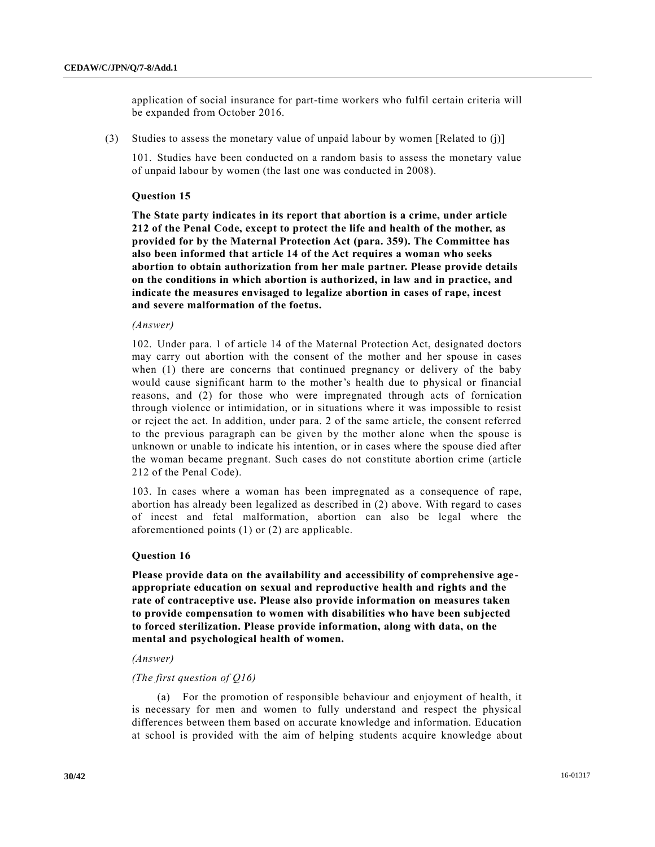application of social insurance for part-time workers who fulfil certain criteria will be expanded from October 2016.

(3) Studies to assess the monetary value of unpaid labour by women [Related to (j)]

101. Studies have been conducted on a random basis to assess the monetary value of unpaid labour by women (the last one was conducted in 2008).

## **Question 15**

**The State party indicates in its report that abortion is a crime, under article 212 of the Penal Code, except to protect the life and health of the mother, as provided for by the Maternal Protection Act (para. 359). The Committee has also been informed that article 14 of the Act requires a woman who seeks abortion to obtain authorization from her male partner. Please provide details on the conditions in which abortion is authorized, in law and in practice, and indicate the measures envisaged to legalize abortion in cases of rape, incest and severe malformation of the foetus.**

## *(Answer)*

102. Under para. 1 of article 14 of the Maternal Protection Act, designated doctors may carry out abortion with the consent of the mother and her spouse in cases when (1) there are concerns that continued pregnancy or delivery of the baby would cause significant harm to the mother's health due to physical or financial reasons, and (2) for those who were impregnated through acts of fornication through violence or intimidation, or in situations where it was impossible to resist or reject the act. In addition, under para. 2 of the same article, the consent referred to the previous paragraph can be given by the mother alone when the spouse is unknown or unable to indicate his intention, or in cases where the spouse died after the woman became pregnant. Such cases do not constitute abortion crime (article 212 of the Penal Code).

103. In cases where a woman has been impregnated as a consequence of rape, abortion has already been legalized as described in (2) above. With regard to cases of incest and fetal malformation, abortion can also be legal where the aforementioned points (1) or (2) are applicable.

## **Question 16**

**Please provide data on the availability and accessibility of comprehensive ageappropriate education on sexual and reproductive health and rights and the rate of contraceptive use. Please also provide information on measures taken to provide compensation to women with disabilities who have been subjected to forced sterilization. Please provide information, along with data, on the mental and psychological health of women.**

#### *(Answer)*

## *(The first question of Q16)*

(a) For the promotion of responsible behaviour and enjoyment of health, it is necessary for men and women to fully understand and respect the physical differences between them based on accurate knowledge and information. Education at school is provided with the aim of helping students acquire knowledge about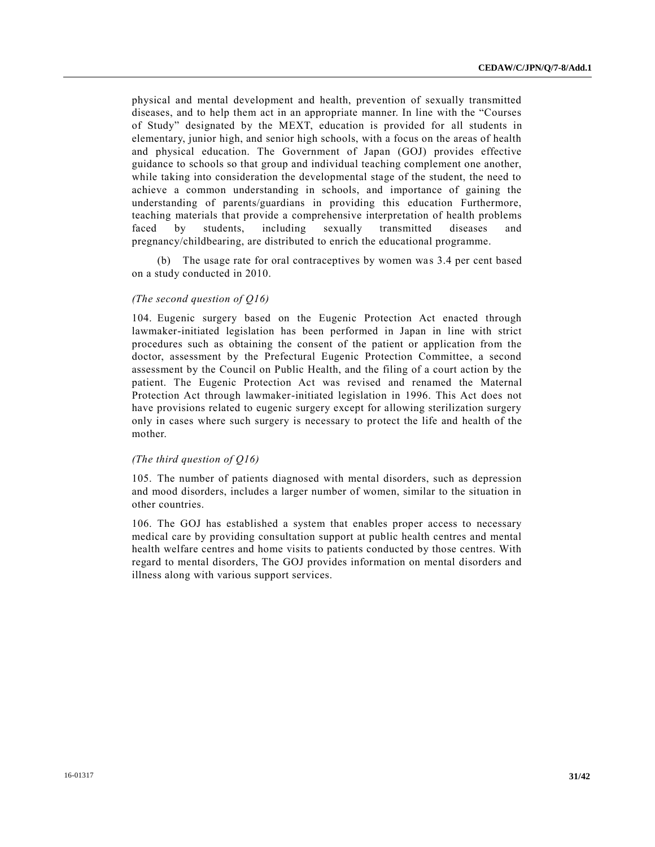physical and mental development and health, prevention of sexually transmitted diseases, and to help them act in an appropriate manner. In line with the "Courses of Study" designated by the MEXT, education is provided for all students in elementary, junior high, and senior high schools, with a focus on the areas of health and physical education. The Government of Japan (GOJ) provides effective guidance to schools so that group and individual teaching complement one another, while taking into consideration the developmental stage of the student, the need to achieve a common understanding in schools, and importance of gaining the understanding of parents/guardians in providing this education Furthermore, teaching materials that provide a comprehensive interpretation of health problems faced by students, including sexually transmitted diseases and pregnancy/childbearing, are distributed to enrich the educational programme.

(b) The usage rate for oral contraceptives by women was 3.4 per cent based on a study conducted in 2010.

## *(The second question of Q16)*

104. Eugenic surgery based on the Eugenic Protection Act enacted through lawmaker-initiated legislation has been performed in Japan in line with strict procedures such as obtaining the consent of the patient or application from the doctor, assessment by the Prefectural Eugenic Protection Committee, a second assessment by the Council on Public Health, and the filing of a court action by the patient. The Eugenic Protection Act was revised and renamed the Maternal Protection Act through lawmaker-initiated legislation in 1996. This Act does not have provisions related to eugenic surgery except for allowing sterilization surgery only in cases where such surgery is necessary to protect the life and health of the mother.

## *(The third question of Q16)*

105. The number of patients diagnosed with mental disorders, such as depression and mood disorders, includes a larger number of women, similar to the situation in other countries.

106. The GOJ has established a system that enables proper access to necessary medical care by providing consultation support at public health centres and mental health welfare centres and home visits to patients conducted by those centres. With regard to mental disorders, The GOJ provides information on mental disorders and illness along with various support services.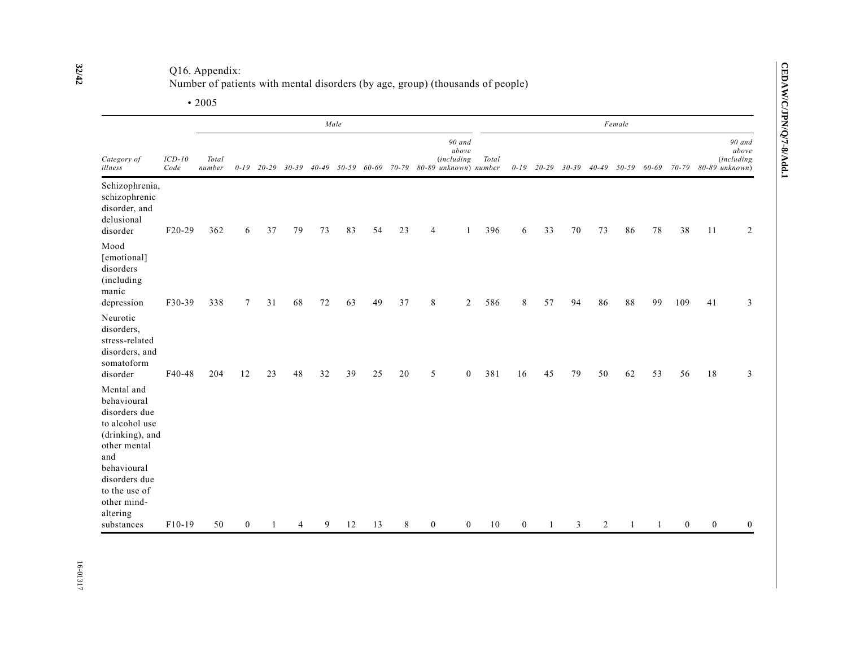Q16. Appendix:

| Number of patients with mental disorders (by age, group) (thousands of people) |  |  |  |  |
|--------------------------------------------------------------------------------|--|--|--|--|
|                                                                                |  |  |  |  |

• 2005

|                                                                                                                                                                                    |                  |                 |              |              |    | Female |    |    |    |                |                                                                                               |       |                  |                |           |                |           |       |              |              |                                                        |
|------------------------------------------------------------------------------------------------------------------------------------------------------------------------------------|------------------|-----------------|--------------|--------------|----|--------|----|----|----|----------------|-----------------------------------------------------------------------------------------------|-------|------------------|----------------|-----------|----------------|-----------|-------|--------------|--------------|--------------------------------------------------------|
| Category of<br>illness                                                                                                                                                             | $ICD-10$<br>Code | Total<br>number |              | $0-19$ 20-29 |    |        |    |    |    |                | $90$ and<br>above<br><i>(including</i><br>30-39 40-49 50-59 60-69 70-79 80-89 unknown) number | Total |                  | $0-19$ $20-29$ | $30 - 39$ | $40 - 49$      | $50 - 59$ | 60-69 | $70 - 79$    |              | 90 and<br>above<br><i>(including</i><br>80-89 unknown) |
| Schizophrenia,<br>schizophrenic<br>disorder, and<br>delusional<br>disorder                                                                                                         | $F20-29$         | 362             | 6            | 37           | 79 | 73     | 83 | 54 | 23 | $\overline{4}$ | -1                                                                                            | 396   | 6                | 33             | 70        | 73             | 86        | 78    | 38           | 11           | 2                                                      |
| Mood<br>[emotional]<br>disorders<br>(including<br>manic<br>depression                                                                                                              | F30-39           | 338             | 7            | 31           | 68 | $72\,$ | 63 | 49 | 37 | $\,8\,$        | $\overline{2}$                                                                                | 586   | 8                | 57             | 94        | 86             | $8\,8$    | 99    | 109          | 41           | 3                                                      |
| Neurotic<br>disorders,<br>stress-related<br>disorders, and<br>somatoform<br>disorder                                                                                               | F40-48           | 204             | 12           | 23           | 48 | 32     | 39 | 25 | 20 | 5              | $\mathbf{0}$                                                                                  | 381   | 16               | 45             | 79        | 50             | 62        | 53    | 56           | 18           | $\overline{3}$                                         |
| Mental and<br>behavioural<br>disorders due<br>to alcohol use<br>(drinking), and<br>other mental<br>and<br>behavioural<br>disorders due<br>to the use of<br>other mind-<br>altering |                  |                 |              |              |    |        |    |    |    |                |                                                                                               |       |                  |                |           |                |           |       |              |              |                                                        |
| substances                                                                                                                                                                         | F10-19           | 50              | $\mathbf{0}$ |              | Δ  | 9      | 12 | 13 | 8  | $\mathbf{0}$   | $\mathbf{0}$                                                                                  | 10    | $\boldsymbol{0}$ |                | 3         | $\overline{2}$ |           |       | $\mathbf{0}$ | $\mathbf{0}$ | $\boldsymbol{0}$                                       |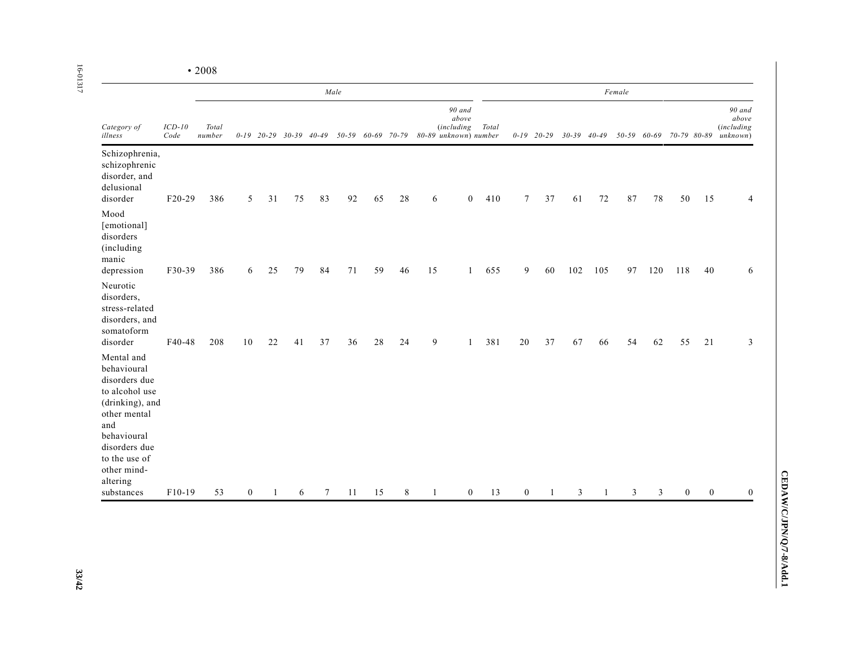|                                                                                                                                                                                                  |                  |                 | Male           |                                |    |        |    |                   |    |              |                                                               |       | Female       |                |                 |     |                |             |              |                |                                                  |  |  |
|--------------------------------------------------------------------------------------------------------------------------------------------------------------------------------------------------|------------------|-----------------|----------------|--------------------------------|----|--------|----|-------------------|----|--------------|---------------------------------------------------------------|-------|--------------|----------------|-----------------|-----|----------------|-------------|--------------|----------------|--------------------------------------------------|--|--|
| Category of<br>illness                                                                                                                                                                           | $ICD-10$<br>Code | Total<br>number |                | $0-19$ $20-29$ $30-39$ $40-49$ |    |        |    | 50-59 60-69 70-79 |    |              | 90 and<br>above<br><i>(including</i><br>80-89 unknown) number | Total |              | $0-19$ $20-29$ | $30-39$ $40-49$ |     |                | 50-59 60-69 | 70-79 80-89  |                | 90 and<br>above<br><i>(including</i><br>unknown) |  |  |
| Schizophrenia,<br>schizophrenic<br>disorder, and<br>delusional<br>disorder                                                                                                                       | F20-29           | 386             | 5              | 31                             | 75 | 83     | 92 | 65                | 28 | 6            | $\mathbf{0}$                                                  | 410   | 7            | 37             | 61              | 72  | 87             | 78          | 50           | 15             | 4                                                |  |  |
| Mood<br>[emotional]<br>disorders<br>(including<br>manic<br>depression                                                                                                                            | F30-39           | 386             | 6              | 25                             | 79 | 84     | 71 | 59                | 46 | 15           | $\mathbf{1}$                                                  | 655   | 9            | 60             | 102             | 105 | 97             | 120         | 118          | 40             | 6                                                |  |  |
| Neurotic<br>disorders.<br>stress-related<br>disorders, and<br>somatoform<br>disorder                                                                                                             | F40-48           | 208             | 10             | 22                             | 41 | 37     | 36 | 28                | 24 | 9            | $\mathbf{1}$                                                  | 381   | 20           | 37             | 67              | 66  | 54             | 62          | 55           | 21             | 3                                                |  |  |
| Mental and<br>behavioural<br>disorders due<br>to alcohol use<br>(drinking), and<br>other mental<br>and<br>behavioural<br>disorders due<br>to the use of<br>other mind-<br>altering<br>substances | F10-19           | 53              | $\overline{0}$ | 1                              | 6  | $\tau$ | 11 | 15                | 8  | $\mathbf{1}$ | $\overline{0}$                                                | 13    | $\mathbf{0}$ |                | 3               | 1   | $\overline{3}$ | 3           | $\mathbf{0}$ | $\overline{0}$ | $\Omega$                                         |  |  |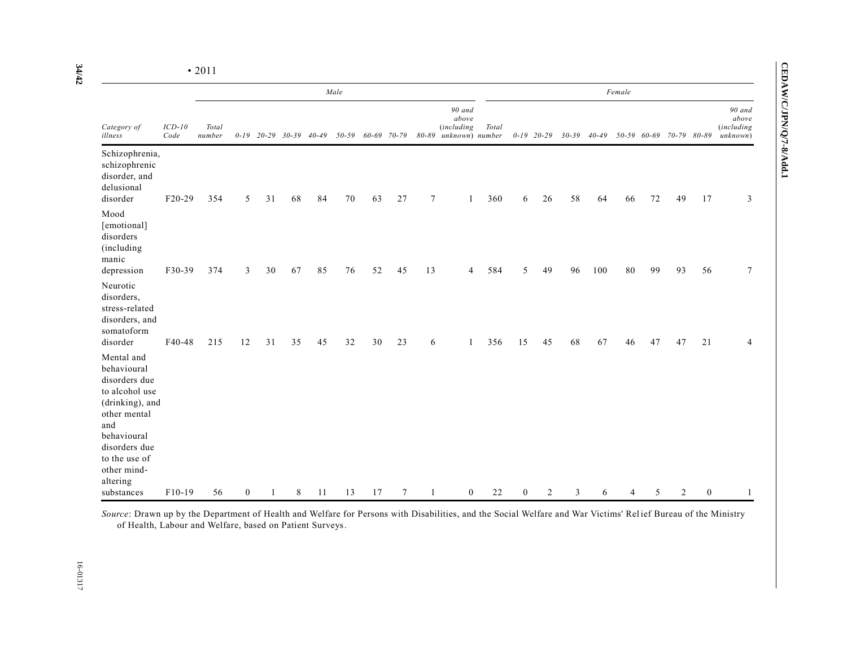|                                                                                                                                                                                                  |                  | Male            |                  |        |                                |    |           |             |        |                |                                                           |       | Female           |                |           |           |    |             |                |          |                                                  |  |
|--------------------------------------------------------------------------------------------------------------------------------------------------------------------------------------------------|------------------|-----------------|------------------|--------|--------------------------------|----|-----------|-------------|--------|----------------|-----------------------------------------------------------|-------|------------------|----------------|-----------|-----------|----|-------------|----------------|----------|--------------------------------------------------|--|
| Category of<br>illness                                                                                                                                                                           | $ICD-10$<br>Code | Total<br>number |                  |        | $0-19$ $20-29$ $30-39$ $40-49$ |    | $50 - 59$ | 60-69 70-79 |        | 80-89          | 90 and<br>$above$<br><i>(including</i><br>unknown) number | Total |                  | $0-19$ 20-29   | $30 - 39$ | $40 - 49$ |    | 50-59 60-69 | 70-79 80-89    |          | 90 and<br>above<br><i>(including</i><br>unknown) |  |
| Schizophrenia,<br>schizophrenic<br>disorder, and<br>delusional<br>disorder                                                                                                                       | F20-29           | 354             | 5                | 31     | 68                             | 84 | 70        | 63          | 27     | $\overline{7}$ |                                                           | 360   | 6                | 26             | 58        | 64        | 66 | 72          | 49             | 17       | 3                                                |  |
| Mood<br>[emotional]<br>disorders<br>(including<br>manic<br>depression                                                                                                                            | F30-39           | 374             | 3                | $30\,$ | 67                             | 85 | 76        | 52          | 45     | 13             | 4                                                         | 584   | 5                | 49             | 96        | 100       | 80 | 99          | 93             | 56       | 7                                                |  |
| Neurotic<br>disorders,<br>stress-related<br>disorders, and<br>somatoform<br>disorder                                                                                                             | F40-48           | 215             | 12               | 31     | 35                             | 45 | 32        | 30          | 23     | 6              |                                                           | 356   | 15               | 45             | 68        | 67        | 46 | 47          | 47             | 21       | 4                                                |  |
| Mental and<br>behavioural<br>disorders due<br>to alcohol use<br>(drinking), and<br>other mental<br>and<br>behavioural<br>disorders due<br>to the use of<br>other mind-<br>altering<br>substances | $F10-19$         | 56              | $\boldsymbol{0}$ |        | 8                              | 11 | 13        | 17          | $\tau$ |                | $\boldsymbol{0}$                                          | 22    | $\boldsymbol{0}$ | $\overline{c}$ | 3         | 6         |    | 5           | $\overline{2}$ | $\theta$ | 1                                                |  |

**CEDAW/C/JPN/Q/7-8/Add.1**

CEDAW/C/JPN/Q/7-8/Add.1

*Source*: Drawn up by the Department of Health and Welfare for Persons with Disabilities, and the Social Welfare and War Victims' Rel ief Bureau of the Ministry of Health, Labour and Welfare, based on Patient Surveys.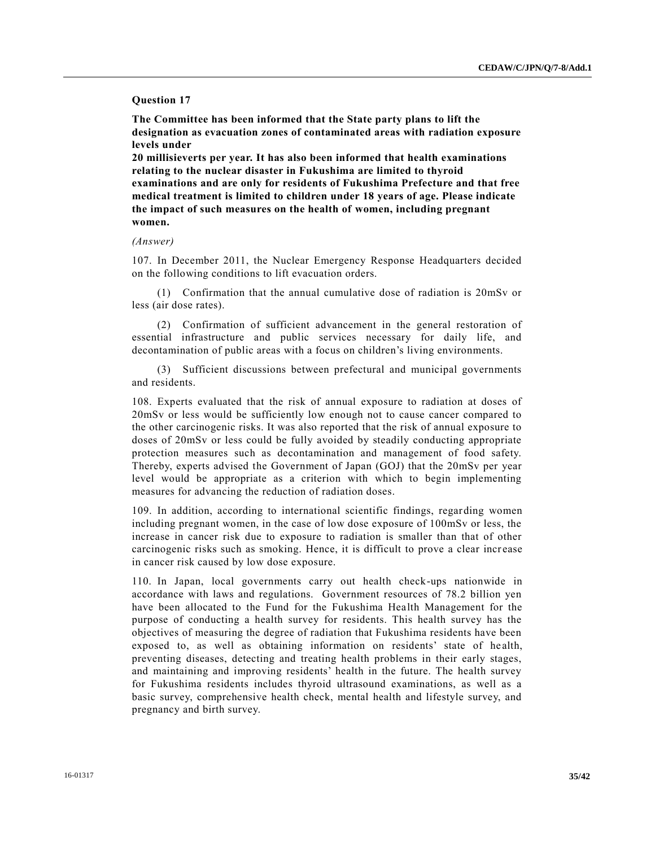## **Question 17**

**The Committee has been informed that the State party plans to lift the designation as evacuation zones of contaminated areas with radiation exposure levels under** 

**20 millisieverts per year. It has also been informed that health examinations relating to the nuclear disaster in Fukushima are limited to thyroid examinations and are only for residents of Fukushima Prefecture and that free medical treatment is limited to children under 18 years of age. Please indicate the impact of such measures on the health of women, including pregnant women.**

#### *(Answer)*

107. In December 2011, the Nuclear Emergency Response Headquarters decided on the following conditions to lift evacuation orders.

(1) Confirmation that the annual cumulative dose of radiation is 20mSv or less (air dose rates).

(2) Confirmation of sufficient advancement in the general restoration of essential infrastructure and public services necessary for daily life, and decontamination of public areas with a focus on children's living environments.

(3) Sufficient discussions between prefectural and municipal governments and residents.

108. Experts evaluated that the risk of annual exposure to radiation at doses of 20mSv or less would be sufficiently low enough not to cause cancer compared to the other carcinogenic risks. It was also reported that the risk of annual exposure to doses of 20mSv or less could be fully avoided by steadily conducting appropriate protection measures such as decontamination and management of food safety. Thereby, experts advised the Government of Japan (GOJ) that the 20mSv per year level would be appropriate as a criterion with which to begin implementing measures for advancing the reduction of radiation doses.

109. In addition, according to international scientific findings, regarding women including pregnant women, in the case of low dose exposure of 100mSv or less, the increase in cancer risk due to exposure to radiation is smaller than that of other carcinogenic risks such as smoking. Hence, it is difficult to prove a clear increase in cancer risk caused by low dose exposure.

110. In Japan, local governments carry out health check-ups nationwide in accordance with laws and regulations. Government resources of 78.2 billion yen have been allocated to the Fund for the Fukushima Health Management for the purpose of conducting a health survey for residents. This health survey has the objectives of measuring the degree of radiation that Fukushima residents have been exposed to, as well as obtaining information on residents' state of health, preventing diseases, detecting and treating health problems in their early stages, and maintaining and improving residents' health in the future. The health survey for Fukushima residents includes thyroid ultrasound examinations, as well as a basic survey, comprehensive health check, mental health and lifestyle survey, and pregnancy and birth survey.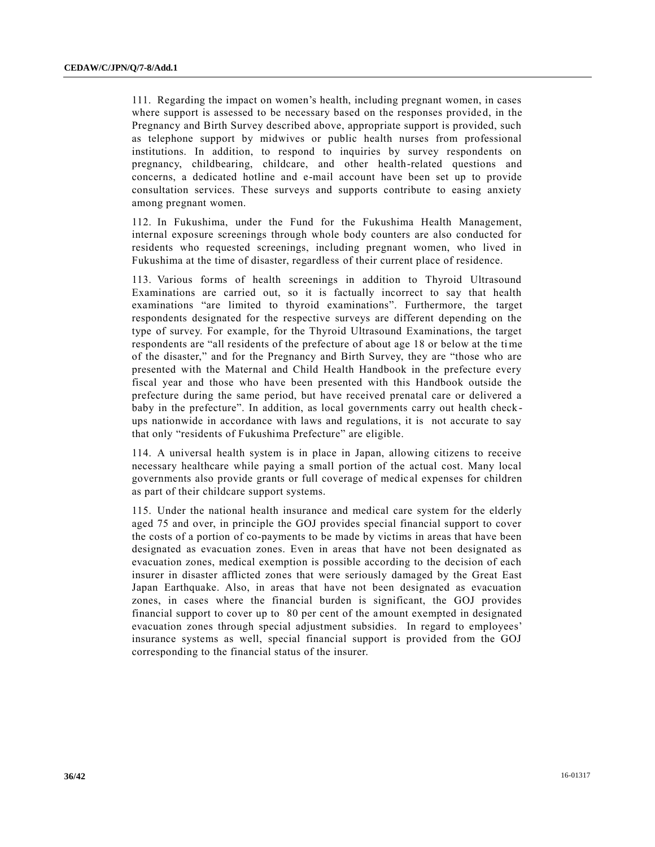111. Regarding the impact on women's health, including pregnant women, in cases where support is assessed to be necessary based on the responses provided, in the Pregnancy and Birth Survey described above, appropriate support is provided, such as telephone support by midwives or public health nurses from professional institutions. In addition, to respond to inquiries by survey respondents on pregnancy, childbearing, childcare, and other health-related questions and concerns, a dedicated hotline and e-mail account have been set up to provide consultation services. These surveys and supports contribute to easing anxiety among pregnant women.

112. In Fukushima, under the Fund for the Fukushima Health Management, internal exposure screenings through whole body counters are also conducted for residents who requested screenings, including pregnant women, who lived in Fukushima at the time of disaster, regardless of their current place of residence.

113. Various forms of health screenings in addition to Thyroid Ultrasound Examinations are carried out, so it is factually incorrect to say that health examinations "are limited to thyroid examinations". Furthermore, the target respondents designated for the respective surveys are different depending on the type of survey. For example, for the Thyroid Ultrasound Examinations, the target respondents are "all residents of the prefecture of about age 18 or below at the time of the disaster," and for the Pregnancy and Birth Survey, they are "those who are presented with the Maternal and Child Health Handbook in the prefecture every fiscal year and those who have been presented with this Handbook outside the prefecture during the same period, but have received prenatal care or delivered a baby in the prefecture". In addition, as local governments carry out health check ups nationwide in accordance with laws and regulations, it is not accurate to say that only "residents of Fukushima Prefecture" are eligible.

114. A universal health system is in place in Japan, allowing citizens to receive necessary healthcare while paying a small portion of the actual cost. Many local governments also provide grants or full coverage of medical expenses for children as part of their childcare support systems.

115. Under the national health insurance and medical care system for the elderly aged 75 and over, in principle the GOJ provides special financial support to cover the costs of a portion of co-payments to be made by victims in areas that have been designated as evacuation zones. Even in areas that have not been designated as evacuation zones, medical exemption is possible according to the decision of each insurer in disaster afflicted zones that were seriously damaged by the Great East Japan Earthquake. Also, in areas that have not been designated as evacuation zones, in cases where the financial burden is significant, the GOJ provides financial support to cover up to 80 per cent of the amount exempted in designated evacuation zones through special adjustment subsidies. In regard to employees' insurance systems as well, special financial support is provided from the GOJ corresponding to the financial status of the insurer.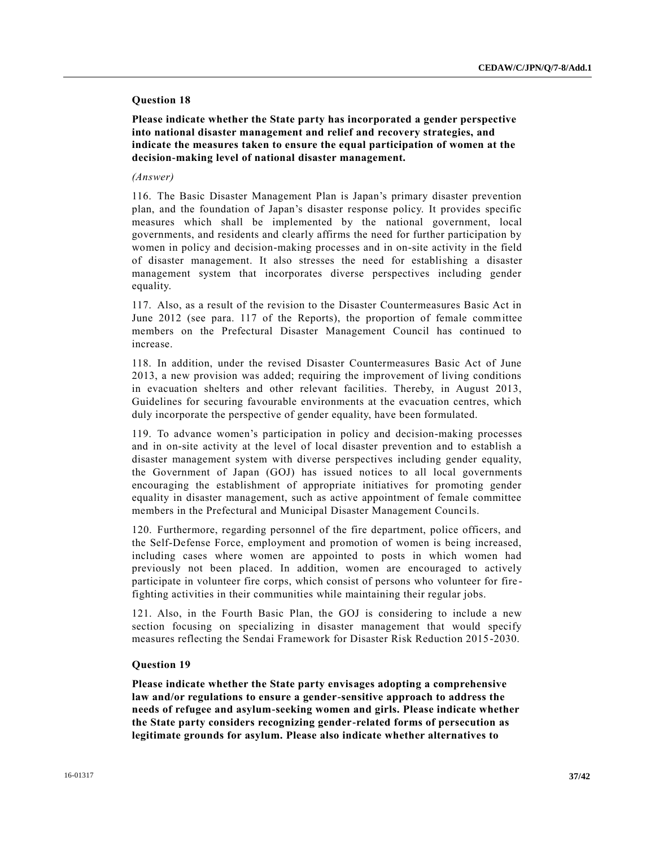## **Question 18**

**Please indicate whether the State party has incorporated a gender perspective into national disaster management and relief and recovery strategies, and indicate the measures taken to ensure the equal participation of women at the decision-making level of national disaster management.**

#### *(Answer)*

116. The Basic Disaster Management Plan is Japan's primary disaster prevention plan, and the foundation of Japan's disaster response policy. It provides specific measures which shall be implemented by the national government, local governments, and residents and clearly affirms the need for further participation by women in policy and decision-making processes and in on-site activity in the field of disaster management. It also stresses the need for establishing a disaster management system that incorporates diverse perspectives including gender equality.

117. Also, as a result of the revision to the Disaster Countermeasures Basic Act in June 2012 (see para. 117 of the Reports), the proportion of female committee members on the Prefectural Disaster Management Council has continued to increase.

118. In addition, under the revised Disaster Countermeasures Basic Act of June 2013, a new provision was added; requiring the improvement of living conditions in evacuation shelters and other relevant facilities. Thereby, in August 2013, Guidelines for securing favourable environments at the evacuation centres, which duly incorporate the perspective of gender equality, have been formulated.

119. To advance women's participation in policy and decision-making processes and in on-site activity at the level of local disaster prevention and to establish a disaster management system with diverse perspectives including gender equality, the Government of Japan (GOJ) has issued notices to all local governments encouraging the establishment of appropriate initiatives for promoting gender equality in disaster management, such as active appointment of female committee members in the Prefectural and Municipal Disaster Management Councils.

120. Furthermore, regarding personnel of the fire department, police officers, and the Self-Defense Force, employment and promotion of women is being increased, including cases where women are appointed to posts in which women had previously not been placed. In addition, women are encouraged to actively participate in volunteer fire corps, which consist of persons who volunteer for fire fighting activities in their communities while maintaining their regular jobs.

121. Also, in the Fourth Basic Plan, the GOJ is considering to include a new section focusing on specializing in disaster management that would specify measures reflecting the Sendai Framework for Disaster Risk Reduction 2015 -2030.

## **Question 19**

**Please indicate whether the State party envisages adopting a comprehensive law and/or regulations to ensure a gender-sensitive approach to address the needs of refugee and asylum-seeking women and girls. Please indicate whether the State party considers recognizing gender-related forms of persecution as legitimate grounds for asylum. Please also indicate whether alternatives to**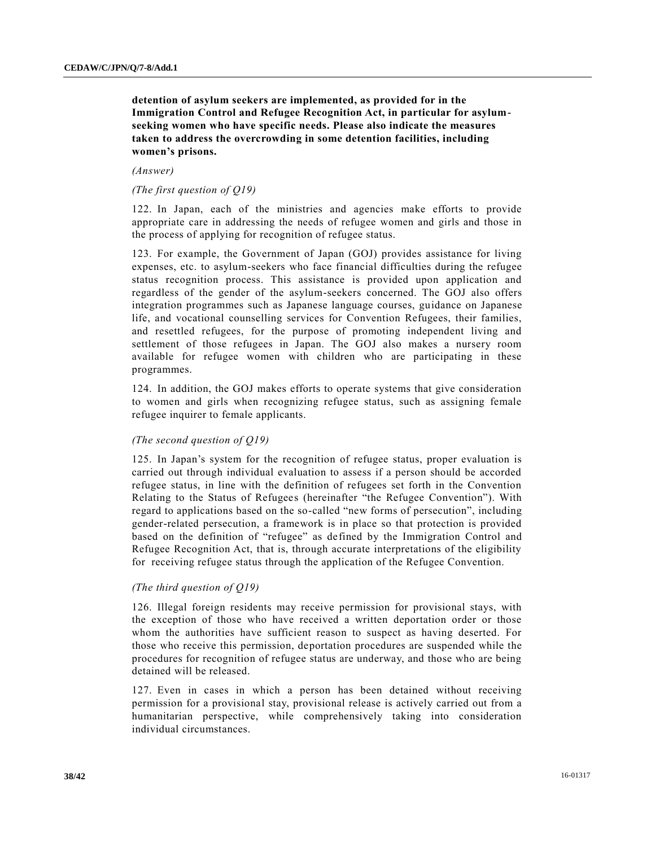**detention of asylum seekers are implemented, as provided for in the Immigration Control and Refugee Recognition Act, in particular for asylumseeking women who have specific needs. Please also indicate the measures taken to address the overcrowding in some detention facilities, including women's prisons.**

#### *(Answer)*

## *(The first question of Q19)*

122. In Japan, each of the ministries and agencies make efforts to provide appropriate care in addressing the needs of refugee women and girls and those in the process of applying for recognition of refugee status.

123. For example, the Government of Japan (GOJ) provides assistance for living expenses, etc. to asylum-seekers who face financial difficulties during the refugee status recognition process. This assistance is provided upon application and regardless of the gender of the asylum-seekers concerned. The GOJ also offers integration programmes such as Japanese language courses, guidance on Japanese life, and vocational counselling services for Convention Refugees, their families, and resettled refugees, for the purpose of promoting independent living and settlement of those refugees in Japan. The GOJ also makes a nursery room available for refugee women with children who are participating in these programmes.

124. In addition, the GOJ makes efforts to operate systems that give consideration to women and girls when recognizing refugee status, such as assigning female refugee inquirer to female applicants.

## *(The second question of Q19)*

125. In Japan's system for the recognition of refugee status, proper evaluation is carried out through individual evaluation to assess if a person should be accorded refugee status, in line with the definition of refugees set forth in the Convention Relating to the Status of Refugees (hereinafter "the Refugee Convention"). With regard to applications based on the so-called "new forms of persecution", including gender-related persecution, a framework is in place so that protection is provided based on the definition of "refugee" as defined by the Immigration Control and Refugee Recognition Act, that is, through accurate interpretations of the eligibility for receiving refugee status through the application of the Refugee Convention.

## *(The third question of Q19)*

126. Illegal foreign residents may receive permission for provisional stays, with the exception of those who have received a written deportation order or those whom the authorities have sufficient reason to suspect as having deserted. For those who receive this permission, deportation procedures are suspended while the procedures for recognition of refugee status are underway, and those who are being detained will be released.

127. Even in cases in which a person has been detained without receiving permission for a provisional stay, provisional release is actively carried out from a humanitarian perspective, while comprehensively taking into consideration individual circumstances.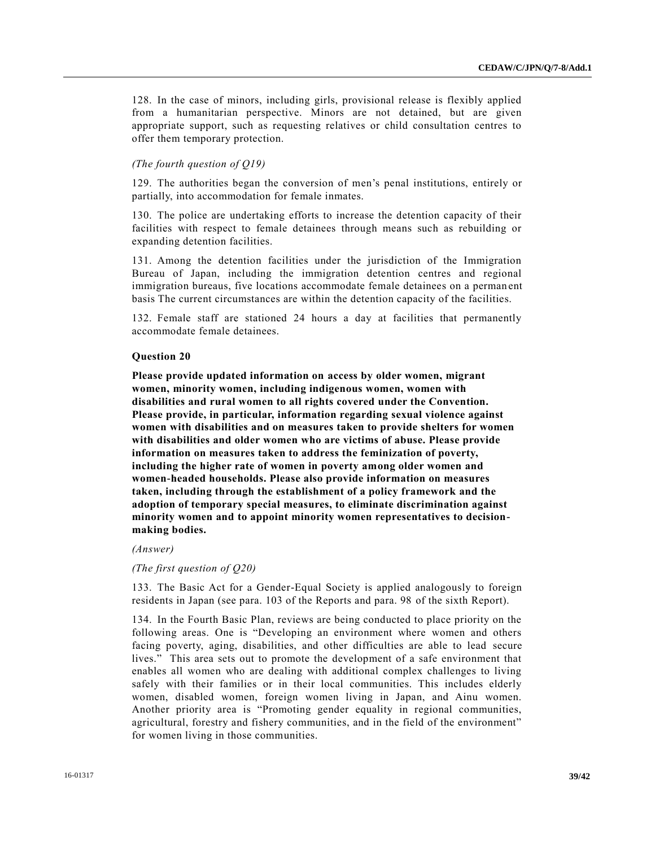128. In the case of minors, including girls, provisional release is flexibly applied from a humanitarian perspective. Minors are not detained, but are given appropriate support, such as requesting relatives or child consultation centres to offer them temporary protection.

## *(The fourth question of Q19)*

129. The authorities began the conversion of men's penal institutions, entirely or partially, into accommodation for female inmates.

130. The police are undertaking efforts to increase the detention capacity of their facilities with respect to female detainees through means such as rebuilding or expanding detention facilities.

131. Among the detention facilities under the jurisdiction of the Immigration Bureau of Japan, including the immigration detention centres and regional immigration bureaus, five locations accommodate female detainees on a perman ent basis The current circumstances are within the detention capacity of the facilities.

132. Female staff are stationed 24 hours a day at facilities that permanently accommodate female detainees.

#### **Question 20**

**Please provide updated information on access by older women, migrant women, minority women, including indigenous women, women with disabilities and rural women to all rights covered under the Convention. Please provide, in particular, information regarding sexual violence against women with disabilities and on measures taken to provide shelters for women with disabilities and older women who are victims of abuse. Please provide information on measures taken to address the feminization of poverty, including the higher rate of women in poverty among older women and women-headed households. Please also provide information on measures taken, including through the establishment of a policy framework and the adoption of temporary special measures, to eliminate discrimination against minority women and to appoint minority women representatives to decisionmaking bodies.**

#### *(Answer)*

#### *(The first question of Q20)*

133. The Basic Act for a Gender-Equal Society is applied analogously to foreign residents in Japan (see para. 103 of the Reports and para. 98 of the sixth Report).

134. In the Fourth Basic Plan, reviews are being conducted to place priority on the following areas. One is "Developing an environment where women and others facing poverty, aging, disabilities, and other difficulties are able to lead secure lives." This area sets out to promote the development of a safe environment that enables all women who are dealing with additional complex challenges to living safely with their families or in their local communities. This includes elderly women, disabled women, foreign women living in Japan, and Ainu women. Another priority area is "Promoting gender equality in regional communities, agricultural, forestry and fishery communities, and in the field of the environment" for women living in those communities.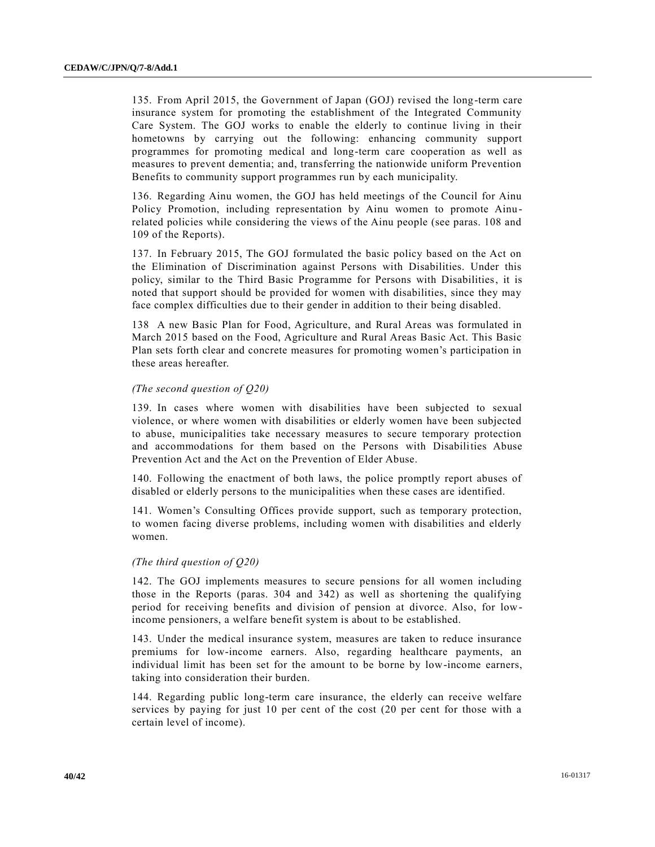135. From April 2015, the Government of Japan (GOJ) revised the long-term care insurance system for promoting the establishment of the Integrated Community Care System. The GOJ works to enable the elderly to continue living in their hometowns by carrying out the following: enhancing community support programmes for promoting medical and long-term care cooperation as well as measures to prevent dementia; and, transferring the nationwide uniform Prevention Benefits to community support programmes run by each municipality.

136. Regarding Ainu women, the GOJ has held meetings of the Council for Ainu Policy Promotion, including representation by Ainu women to promote Ainu related policies while considering the views of the Ainu people (see paras. 108 and 109 of the Reports).

137. In February 2015, The GOJ formulated the basic policy based on the Act on the Elimination of Discrimination against Persons with Disabilities. Under this policy, similar to the Third Basic Programme for Persons with Disabilities, it is noted that support should be provided for women with disabilities, since they may face complex difficulties due to their gender in addition to their being disabled.

138 A new Basic Plan for Food, Agriculture, and Rural Areas was formulated in March 2015 based on the Food, Agriculture and Rural Areas Basic Act. This Basic Plan sets forth clear and concrete measures for promoting women's participation in these areas hereafter.

## *(The second question of Q20)*

139. In cases where women with disabilities have been subjected to sexual violence, or where women with disabilities or elderly women have been subjected to abuse, municipalities take necessary measures to secure temporary protection and accommodations for them based on the Persons with Disabilities Abuse Prevention Act and the Act on the Prevention of Elder Abuse.

140. Following the enactment of both laws, the police promptly report abuses of disabled or elderly persons to the municipalities when these cases are identified.

141. Women's Consulting Offices provide support, such as temporary protection, to women facing diverse problems, including women with disabilities and elderly women.

## *(The third question of Q20)*

142. The GOJ implements measures to secure pensions for all women including those in the Reports (paras. 304 and 342) as well as shortening the qualifying period for receiving benefits and division of pension at divorce. Also, for lowincome pensioners, a welfare benefit system is about to be established.

143. Under the medical insurance system, measures are taken to reduce insurance premiums for low-income earners. Also, regarding healthcare payments, an individual limit has been set for the amount to be borne by low-income earners, taking into consideration their burden.

144. Regarding public long-term care insurance, the elderly can receive welfare services by paying for just 10 per cent of the cost (20 per cent for those with a certain level of income).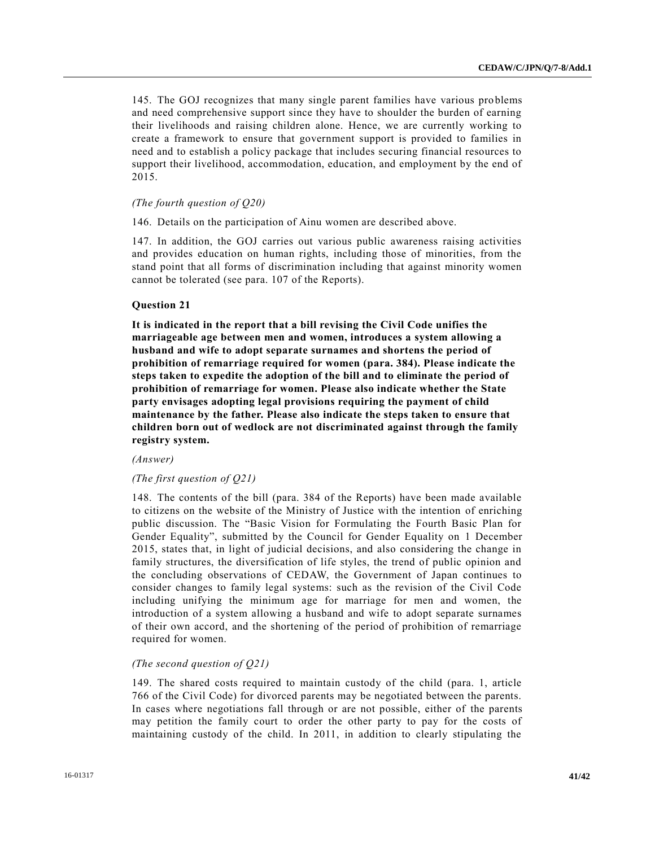145. The GOJ recognizes that many single parent families have various problems and need comprehensive support since they have to shoulder the burden of earning their livelihoods and raising children alone. Hence, we are currently working to create a framework to ensure that government support is provided to families in need and to establish a policy package that includes securing financial resources to support their livelihood, accommodation, education, and employment by the end of 2015.

## *(The fourth question of Q20)*

146. Details on the participation of Ainu women are described above.

147. In addition, the GOJ carries out various public awareness raising activities and provides education on human rights, including those of minorities, from the stand point that all forms of discrimination including that against minority women cannot be tolerated (see para. 107 of the Reports).

## **Question 21**

**It is indicated in the report that a bill revising the Civil Code unifies the marriageable age between men and women, introduces a system allowing a husband and wife to adopt separate surnames and shortens the period of prohibition of remarriage required for women (para. 384). Please indicate the steps taken to expedite the adoption of the bill and to eliminate the period of prohibition of remarriage for women. Please also indicate whether the State party envisages adopting legal provisions requiring the payment of child maintenance by the father. Please also indicate the steps taken to ensure that children born out of wedlock are not discriminated against through the family registry system.**

## *(Answer)*

## *(The first question of Q21)*

148. The contents of the bill (para. 384 of the Reports) have been made available to citizens on the website of the Ministry of Justice with the intention of enriching public discussion. The "Basic Vision for Formulating the Fourth Basic Plan for Gender Equality", submitted by the Council for Gender Equality on 1 December 2015, states that, in light of judicial decisions, and also considering the change in family structures, the diversification of life styles, the trend of public opinion and the concluding observations of CEDAW, the Government of Japan continues to consider changes to family legal systems: such as the revision of the Civil Code including unifying the minimum age for marriage for men and women, the introduction of a system allowing a husband and wife to adopt separate surnames of their own accord, and the shortening of the period of prohibition of remarriage required for women.

## *(The second question of Q21)*

149. The shared costs required to maintain custody of the child (para. 1, article 766 of the Civil Code) for divorced parents may be negotiated between the parents. In cases where negotiations fall through or are not possible, either of the parents may petition the family court to order the other party to pay for the costs of maintaining custody of the child. In 2011, in addition to clearly stipulating the